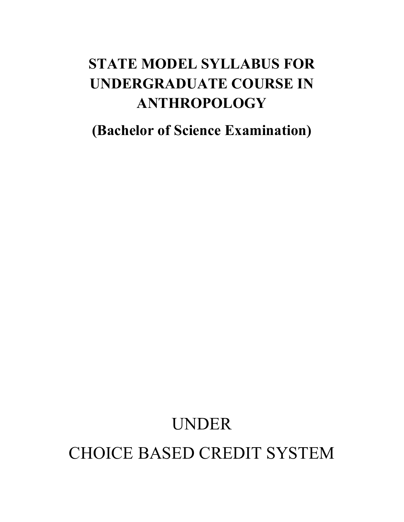# **STATE MODEL SYLLABUS FOR UNDERGRADUATE COURSE IN ANTHROPOLOGY**

**(Bachelor of Science Examination)** 

# UNDER CHOICE BASED CREDIT SYSTEM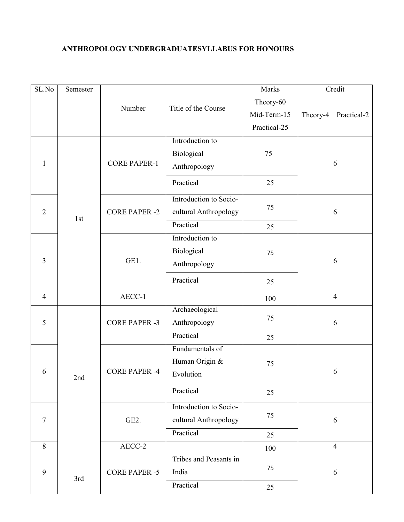# **ANTHROPOLOGY UNDERGRADUATESYLLABUS FOR HONOURS**

| SL.No          | Semester |                      |                        | Marks        | Credit                  |  |
|----------------|----------|----------------------|------------------------|--------------|-------------------------|--|
|                |          |                      | Title of the Course    | Theory-60    |                         |  |
|                |          | Number               |                        | Mid-Term-15  | Practical-2<br>Theory-4 |  |
|                |          |                      |                        | Practical-25 |                         |  |
|                |          |                      | Introduction to        |              |                         |  |
|                |          |                      | Biological             | 75           |                         |  |
| $\mathbf{1}$   |          | <b>CORE PAPER-1</b>  | Anthropology           |              | 6                       |  |
|                |          |                      | Practical              | 25           |                         |  |
|                |          |                      | Introduction to Socio- |              |                         |  |
| $\overline{2}$ |          | <b>CORE PAPER -2</b> | cultural Anthropology  | 75           | 6                       |  |
|                | 1st      |                      | Practical              | 25           |                         |  |
|                |          |                      | Introduction to        |              |                         |  |
|                |          | GE1.                 | Biological             | 75           |                         |  |
| $\overline{3}$ |          |                      | Anthropology           |              | 6                       |  |
|                |          |                      | Practical              | 25           |                         |  |
| $\overline{4}$ |          | AECC-1               |                        | 100          | $\overline{4}$          |  |
|                |          |                      | Archaeological         |              |                         |  |
| 5              |          | <b>CORE PAPER -3</b> | Anthropology           | 75           | 6                       |  |
|                |          |                      | Practical              | 25           |                         |  |
|                |          |                      | Fundamentals of        |              |                         |  |
|                | 2nd      | <b>CORE PAPER -4</b> | Human Origin &         | 75           |                         |  |
| 6              |          |                      | Evolution              |              | 6                       |  |
|                |          |                      | Practical              | 25           |                         |  |
|                |          |                      | Introduction to Socio- |              |                         |  |
| $\overline{7}$ |          | GE <sub>2</sub> .    | cultural Anthropology  | 75           | 6                       |  |
|                |          |                      | Practical              | 25           |                         |  |
| 8              |          | AECC-2               |                        | $100\,$      | $\overline{4}$          |  |
|                |          |                      | Tribes and Peasants in |              |                         |  |
| 9              | 3rd      | <b>CORE PAPER -5</b> | India                  | 75           | 6                       |  |
|                |          |                      | Practical              | 25           |                         |  |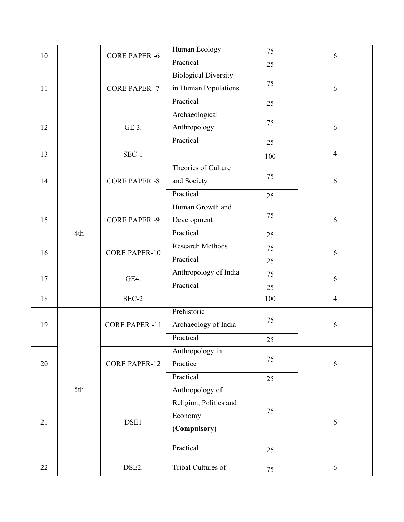| 10 |     | <b>CORE PAPER -6</b>  | Human Ecology               | 75  | 6              |
|----|-----|-----------------------|-----------------------------|-----|----------------|
|    |     |                       | Practical                   | 25  |                |
|    |     |                       | <b>Biological Diversity</b> |     |                |
| 11 |     | <b>CORE PAPER -7</b>  | in Human Populations        | 75  | 6              |
|    |     |                       | Practical                   | 25  |                |
|    |     |                       | Archaeological              |     |                |
| 12 |     | GE 3.                 | Anthropology                | 75  | 6              |
|    |     |                       | Practical                   | 25  |                |
| 13 |     | $SEC-1$               |                             | 100 | $\overline{4}$ |
|    |     |                       | Theories of Culture         |     |                |
| 14 |     | <b>CORE PAPER -8</b>  | and Society                 | 75  | 6              |
|    |     |                       | Practical                   | 25  |                |
|    |     |                       | Human Growth and            |     |                |
| 15 |     | <b>CORE PAPER -9</b>  | Development                 | 75  | 6              |
|    | 4th |                       | Practical                   | 25  |                |
| 16 |     | <b>CORE PAPER-10</b>  | Research Methods            | 75  | 6              |
|    |     |                       | Practical                   | 25  |                |
| 17 |     | GE4.                  | Anthropology of India       | 75  | 6              |
|    |     |                       | Practical                   | 25  |                |
| 18 |     | SEC-2                 |                             | 100 | $\overline{4}$ |
|    |     |                       | Prehistoric                 |     |                |
| 19 |     | <b>CORE PAPER -11</b> | Archaeology of India        | 75  | 6              |
|    |     |                       | Practical                   | 25  |                |
|    |     |                       | Anthropology in             |     |                |
| 20 |     | <b>CORE PAPER-12</b>  | Practice                    | 75  | 6              |
|    |     |                       | Practical                   | 25  |                |
|    | 5th |                       | Anthropology of             |     |                |
|    |     |                       | Religion, Politics and      |     |                |
| 21 |     | DSE1                  | Economy                     | 75  | 6              |
|    |     |                       | (Compulsory)                |     |                |
|    |     |                       | Practical                   | 25  |                |
|    |     |                       |                             |     |                |
| 22 |     | DSE2.                 | Tribal Cultures of          | 75  | 6              |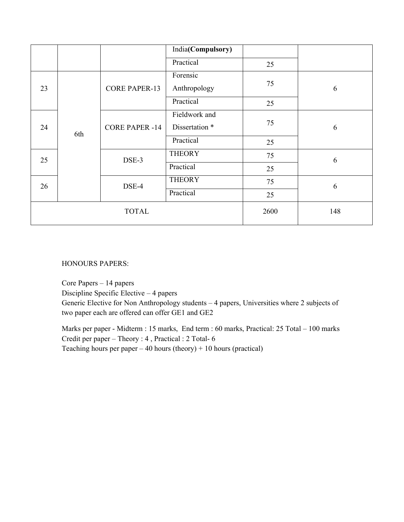|    |    |                              | India(Compulsory) |      |     |
|----|----|------------------------------|-------------------|------|-----|
|    |    |                              | Practical         | 25   |     |
|    |    |                              | Forensic          |      |     |
| 23 |    | <b>CORE PAPER-13</b>         | Anthropology      | 75   | 6   |
|    |    |                              | Practical         | 25   |     |
|    |    | <b>CORE PAPER -14</b><br>6th | Fieldwork and     | 75   |     |
| 24 |    |                              | Dissertation *    |      | 6   |
|    |    |                              | Practical         | 25   |     |
|    | 25 | DSE-3                        | <b>THEORY</b>     | 75   | 6   |
|    |    |                              | Practical         | 25   |     |
|    | 26 | DSE-4                        | <b>THEORY</b>     | 75   | 6   |
|    |    |                              | Practical         | 25   |     |
|    |    | <b>TOTAL</b>                 |                   | 2600 | 148 |

HONOURS PAPERS:

Core Papers – 14 papers Discipline Specific Elective – 4 papers Generic Elective for Non Anthropology students – 4 papers, Universities where 2 subjects of two paper each are offered can offer GE1 and GE2

Marks per paper - Midterm : 15 marks, End term : 60 marks, Practical: 25 Total – 100 marks Credit per paper – Theory : 4 , Practical : 2 Total- 6 Teaching hours per paper – 40 hours (theory) + 10 hours (practical)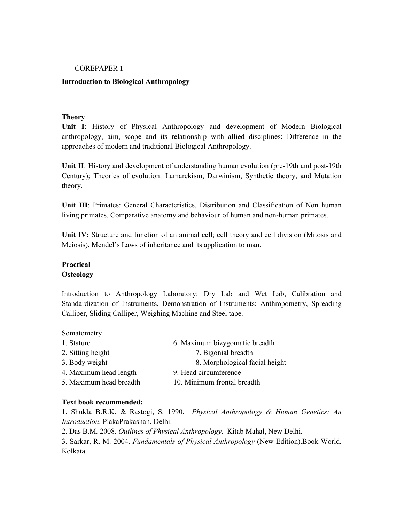#### COREPAPER **1**

#### **Introduction to Biological Anthropology**

#### **Theory**

**Unit I**: History of Physical Anthropology and development of Modern Biological anthropology, aim, scope and its relationship with allied disciplines; Difference in the approaches of modern and traditional Biological Anthropology.

**Unit II**: History and development of understanding human evolution (pre-19th and post-19th Century); Theories of evolution: Lamarckism, Darwinism, Synthetic theory, and Mutation theory.

**Unit III**: Primates: General Characteristics, Distribution and Classification of Non human living primates. Comparative anatomy and behaviour of human and non-human primates.

**Unit IV:** Structure and function of an animal cell; cell theory and cell division (Mitosis and Meiosis), Mendel's Laws of inheritance and its application to man.

# **Practical Osteology**

Somatometry

Introduction to Anthropology Laboratory: Dry Lab and Wet Lab, Calibration and Standardization of Instruments, Demonstration of Instruments: Anthropometry, Spreading Calliper, Sliding Calliper, Weighing Machine and Steel tape.

| <b>SUITARUITLE V</b>    |                                |
|-------------------------|--------------------------------|
| 1. Stature              | 6. Maximum bizygomatic breadth |
| 2. Sitting height       | 7. Bigonial breadth            |
| 3. Body weight          | 8. Morphological facial height |
| 4. Maximum head length  | 9. Head circumference          |
| 5. Maximum head breadth | 10. Minimum frontal breadth    |
|                         |                                |

#### **Text book recommended:**

1. Shukla B.R.K. & Rastogi, S. 1990. *Physical Anthropology & Human Genetics: An Introduction*. PlakaPrakashan. Delhi.

2. Das B.M. 2008. *Outlines of Physical Anthropology*. Kitab Mahal, New Delhi.

3. Sarkar, R. M. 2004. *Fundamentals of Physical Anthropology* (New Edition).Book World. Kolkata.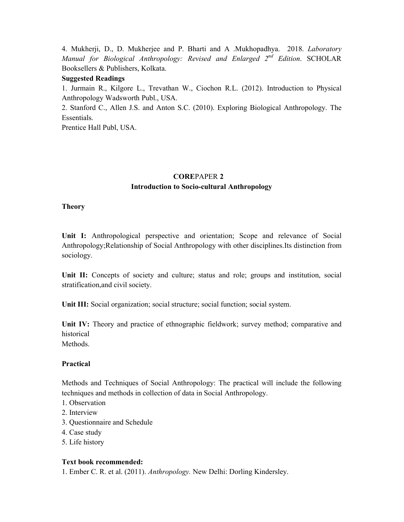4. Mukherji, D., D. Mukherjee and P. Bharti and A .Mukhopadhya. 2018. *Laboratory Manual for Biological Anthropology: Revised and Enlarged 2nd Edition*. SCHOLAR Booksellers & Publishers, Kolkata.

#### **Suggested Readings**

1. Jurmain R., Kilgore L., Trevathan W., Ciochon R.L. (2012). Introduction to Physical Anthropology Wadsworth Publ., USA.

2. Stanford C., Allen J.S. and Anton S.C. (2010). Exploring Biological Anthropology. The Essentials.

Prentice Hall Publ, USA.

# **CORE**PAPER **2 Introduction to Socio-cultural Anthropology**

#### **Theory**

**Unit I:** Anthropological perspective and orientation; Scope and relevance of Social Anthropology;Relationship of Social Anthropology with other disciplines.Its distinction from sociology.

Unit II: Concepts of society and culture; status and role; groups and institution, social stratification,and civil society.

**Unit III:** Social organization; social structure; social function; social system.

**Unit IV:** Theory and practice of ethnographic fieldwork; survey method; comparative and historical **Methods** 

#### **Practical**

Methods and Techniques of Social Anthropology: The practical will include the following techniques and methods in collection of data in Social Anthropology.

- 1. Observation
- 2. Interview
- 3. Questionnaire and Schedule
- 4. Case study
- 5. Life history

#### **Text book recommended:**

1. Ember C. R. et al. (2011). *Anthropology.* New Delhi: Dorling Kindersley.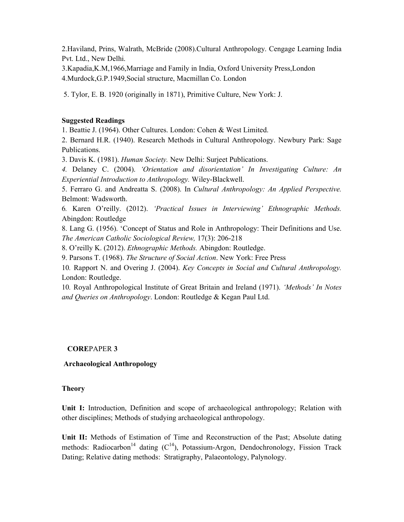2.Haviland, Prins, Walrath, McBride (2008).Cultural Anthropology. Cengage Learning India Pvt. Ltd., New Delhi.

3.Kapadia,K.M,1966,Marriage and Family in India, Oxford University Press,London 4.Murdock,G.P.1949,Social structure, Macmillan Co. London

5. Tylor, E. B. 1920 (originally in 1871), Primitive Culture, New York: J.

#### **Suggested Readings**

1. Beattie J. (1964). Other Cultures. London: Cohen & West Limited.

2. Bernard H.R. (1940). Research Methods in Cultural Anthropology. Newbury Park: Sage Publications.

3. Davis K. (1981). *Human Society.* New Delhi: Surjeet Publications.

*4.* Delaney C. (2004). *'Orientation and disorientation' In Investigating Culture: An Experiential Introduction to Anthropology.* Wiley-Blackwell.

5. Ferraro G. and Andreatta S. (2008). In *Cultural Anthropology: An Applied Perspective.*  Belmont: Wadsworth.

6*.* Karen O'reilly. (2012). *'Practical Issues in Interviewing' Ethnographic Methods.*  Abingdon: Routledge

8. Lang G. (1956). 'Concept of Status and Role in Anthropology: Their Definitions and Use. *The American Catholic Sociological Review,* 17(3): 206-218

8. O'reilly K. (2012). *Ethnographic Methods.* Abingdon: Routledge.

9. Parsons T. (1968). *The Structure of Social Action*. New York: Free Press

10*.* Rapport N. and Overing J. (2004). *Key Concepts in Social and Cultural Anthropology.*  London: Routledge.

10*.* Royal Anthropological Institute of Great Britain and Ireland (1971). *'Methods' In Notes and Queries on Anthropology*. London: Routledge & Kegan Paul Ltd.

#### **CORE**PAPER **3**

#### **Archaeological Anthropology**

#### **Theory**

**Unit I:** Introduction, Definition and scope of archaeological anthropology; Relation with other disciplines; Methods of studying archaeological anthropology.

**Unit II:** Methods of Estimation of Time and Reconstruction of the Past; Absolute dating methods: Radiocarbon<sup>14</sup> dating  $(C^{14})$ , Potassium-Argon, Dendochronology, Fission Track Dating; Relative dating methods: Stratigraphy, Palaeontology, Palynology.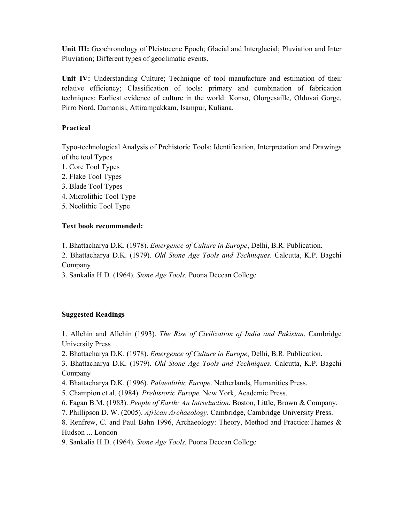**Unit III:** Geochronology of Pleistocene Epoch; Glacial and Interglacial; Pluviation and Inter Pluviation; Different types of geoclimatic events.

**Unit IV:** Understanding Culture; Technique of tool manufacture and estimation of their relative efficiency; Classification of tools: primary and combination of fabrication techniques; Earliest evidence of culture in the world: Konso, Olorgesaille, Olduvai Gorge, Pirro Nord, Damanisi, Attirampakkam, Isampur, Kuliana.

# **Practical**

Typo-technological Analysis of Prehistoric Tools: Identification, Interpretation and Drawings of the tool Types

- 1. Core Tool Types
- 2. Flake Tool Types
- 3. Blade Tool Types
- 4. Microlithic Tool Type
- 5. Neolithic Tool Type

# **Text book recommended:**

1. Bhattacharya D.K. (1978). *Emergence of Culture in Europe*, Delhi, B.R. Publication.

2. Bhattacharya D.K. (1979). *Old Stone Age Tools and Techniques*. Calcutta, K.P. Bagchi Company

3. Sankalia H.D. (1964). *Stone Age Tools.* Poona Deccan College

# **Suggested Readings**

1. Allchin and Allchin (1993). *The Rise of Civilization of India and Pakistan*. Cambridge University Press

2. Bhattacharya D.K. (1978). *Emergence of Culture in Europe*, Delhi, B.R. Publication.

3. Bhattacharya D.K. (1979). *Old Stone Age Tools and Techniques*. Calcutta, K.P. Bagchi Company

- 4. Bhattacharya D.K. (1996). *Palaeolithic Europe*. Netherlands, Humanities Press.
- 5. Champion et al. (1984). *Prehistoric Europe.* New York, Academic Press.
- 6. Fagan B.M. (1983). *People of Earth: An Introduction*. Boston, Little, Brown & Company.
- 7. Phillipson D. W. (2005). *African Archaeology*. Cambridge, Cambridge University Press.

8. Renfrew, C. and Paul Bahn 1996, Archaeology: Theory, Method and Practice:Thames & Hudson ... London

9. Sankalia H.D. (1964). *Stone Age Tools.* Poona Deccan College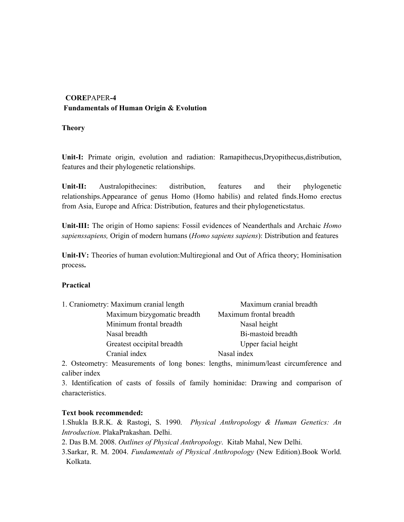# **CORE**PAPER**-4 Fundamentals of Human Origin & Evolution**

# **Theory**

Unit-I: Primate origin, evolution and radiation: Ramapithecus, Dryopithecus, distribution, features and their phylogenetic relationships.

**Unit-II:** Australopithecines: distribution, features and their phylogenetic relationships.Appearance of genus Homo (Homo habilis) and related finds.Homo erectus from Asia, Europe and Africa: Distribution, features and their phylogeneticstatus.

**Unit-III:** The origin of Homo sapiens: Fossil evidences of Neanderthals and Archaic *Homo sapienssapiens,* Origin of modern humans (*Homo sapiens sapiens*): Distribution and features

**Unit-IV:** Theories of human evolution:Multiregional and Out of Africa theory; Hominisation process**.** 

# **Practical**

| 1. Craniometry: Maximum cranial length | Maximum cranial breadth |
|----------------------------------------|-------------------------|
| Maximum bizygomatic breadth            | Maximum frontal breadth |
| Minimum frontal breadth                | Nasal height            |
| Nasal breadth                          | Bi-mastoid breadth      |
| Greatest occipital breadth             | Upper facial height     |
| Cranial index                          | Nasal index             |

2. Osteometry: Measurements of long bones: lengths, minimum/least circumference and caliber index

3. Identification of casts of fossils of family hominidae: Drawing and comparison of characteristics.

# **Text book recommended:**

1.Shukla B.R.K. & Rastogi, S. 1990. *Physical Anthropology & Human Genetics: An Introduction*. PlakaPrakashan. Delhi.

2. Das B.M. 2008. *Outlines of Physical Anthropology*. Kitab Mahal, New Delhi.

3.Sarkar, R. M. 2004. *Fundamentals of Physical Anthropology* (New Edition).Book World. Kolkata.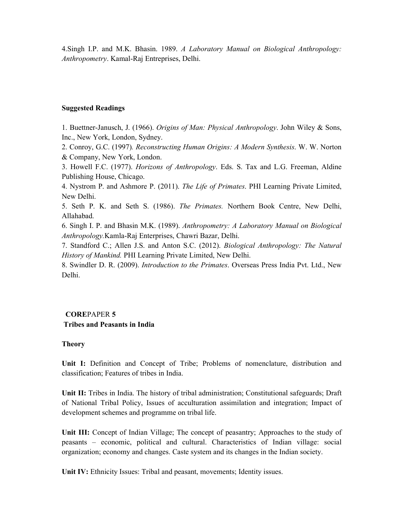4.Singh I.P. and M.K. Bhasin. 1989. *A Laboratory Manual on Biological Anthropology: Anthropometry*. Kamal-Raj Entreprises, Delhi.

#### **Suggested Readings**

1. Buettner-Janusch, J. (1966). *Origins of Man: Physical Anthropology*. John Wiley & Sons, Inc., New York, London, Sydney.

2. Conroy, G.C. (1997)*. Reconstructing Human Origins: A Modern Synthesis*. W. W. Norton & Company, New York, London.

3. Howell F.C. (1977). *Horizons of Anthropology*. Eds. S. Tax and L.G. Freeman, Aldine Publishing House, Chicago.

4. Nystrom P. and Ashmore P. (2011). *The Life of Primates*. PHI Learning Private Limited, New Delhi.

5. Seth P. K. and Seth S. (1986). *The Primates.* Northern Book Centre, New Delhi, Allahabad.

6. Singh I. P. and Bhasin M.K. (1989). *Anthropometry: A Laboratory Manual on Biological Anthropology.*Kamla-Raj Enterprises, Chawri Bazar, Delhi.

7. Standford C.; Allen J.S. and Anton S.C. (2012). *Biological Anthropology: The Natural History of Mankind.* PHI Learning Private Limited, New Delhi.

8. Swindler D. R. (2009). *Introduction to the Primates*. Overseas Press India Pvt. Ltd., New Delhi.

# **CORE**PAPER **5 Tribes and Peasants in India**

#### **Theory**

**Unit I:** Definition and Concept of Tribe; Problems of nomenclature, distribution and classification; Features of tribes in India.

**Unit II:** Tribes in India. The history of tribal administration; Constitutional safeguards; Draft of National Tribal Policy, Issues of acculturation assimilation and integration; Impact of development schemes and programme on tribal life.

**Unit III:** Concept of Indian Village; The concept of peasantry; Approaches to the study of peasants – economic, political and cultural. Characteristics of Indian village: social organization; economy and changes. Caste system and its changes in the Indian society.

**Unit IV:** Ethnicity Issues: Tribal and peasant, movements; Identity issues.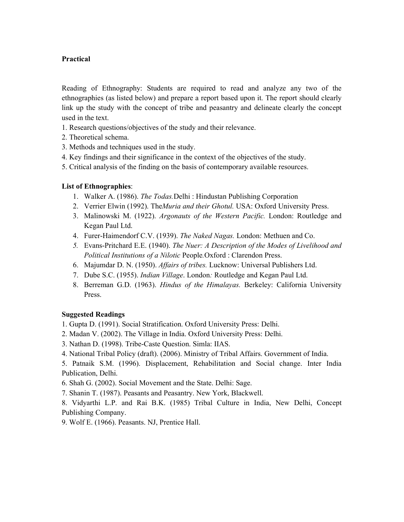# **Practical**

Reading of Ethnography: Students are required to read and analyze any two of the ethnographies (as listed below) and prepare a report based upon it. The report should clearly link up the study with the concept of tribe and peasantry and delineate clearly the concept used in the text.

- 1. Research questions/objectives of the study and their relevance.
- 2. Theoretical schema.
- 3. Methods and techniques used in the study.
- 4. Key findings and their significance in the context of the objectives of the study.
- 5. Critical analysis of the finding on the basis of contemporary available resources.

# **List of Ethnographies**:

- 1. Walker A. (1986). *The Todas.*Delhi : Hindustan Publishing Corporation
- 2. Verrier Elwin (1992). The*Muria and their Ghotul.* USA: Oxford University Press.
- 3. Malinowski M. (1922). *Argonauts of the Western Pacific.* London: Routledge and Kegan Paul Ltd.
- 4. Furer-Haimendorf C.V. (1939). *The Naked Nagas.* London: Methuen and Co.
- *5.* Evans-Pritchard E.E. (1940). *The Nuer: A Description of the Modes of Livelihood and Political Institutions of a Nilotic* People*.*Oxford : Clarendon Press.
- 6. Majumdar D. N. (1950). *Affairs of tribes.* Lucknow: Universal Publishers Ltd.
- 7. Dube S.C. (1955). *Indian Village*. London*:* Routledge and Kegan Paul Ltd.
- 8. Berreman G.D. (1963). *Hindus of the Himalayas.* Berkeley: California University Press.

# **Suggested Readings**

- 1. Gupta D. (1991). Social Stratification. Oxford University Press: Delhi.
- 2. Madan V. (2002). The Village in India. Oxford University Press: Delhi.
- 3. Nathan D. (1998). Tribe-Caste Question. Simla: IIAS.
- 4. National Tribal Policy (draft). (2006). Ministry of Tribal Affairs. Government of India.

5. Patnaik S.M. (1996). Displacement, Rehabilitation and Social change. Inter India Publication, Delhi.

- 6. Shah G. (2002). Social Movement and the State. Delhi: Sage.
- 7. Shanin T. (1987). Peasants and Peasantry. New York, Blackwell.

8. Vidyarthi L.P. and Rai B.K. (1985) Tribal Culture in India, New Delhi, Concept Publishing Company.

9. Wolf E. (1966). Peasants. NJ, Prentice Hall.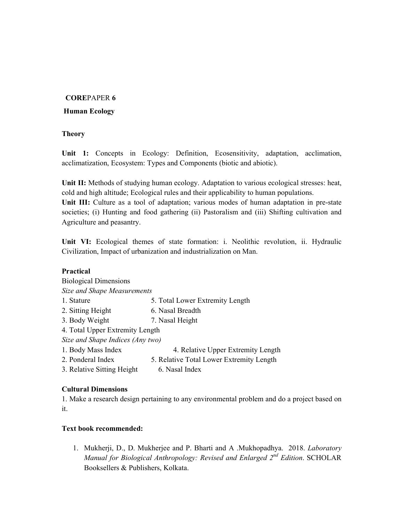# **CORE**PAPER **6**

# **Human Ecology**

# **Theory**

**Unit 1:** Concepts in Ecology: Definition, Ecosensitivity, adaptation, acclimation, acclimatization, Ecosystem: Types and Components (biotic and abiotic).

**Unit II:** Methods of studying human ecology. Adaptation to various ecological stresses: heat, cold and high altitude; Ecological rules and their applicability to human populations. **Unit III:** Culture as a tool of adaptation; various modes of human adaptation in pre-state societies; (i) Hunting and food gathering (ii) Pastoralism and (iii) Shifting cultivation and

Agriculture and peasantry.

**Unit VI:** Ecological themes of state formation: i. Neolithic revolution, ii. Hydraulic Civilization, Impact of urbanization and industrialization on Man.

# **Practical**

| <b>Biological Dimensions</b>     |                                          |
|----------------------------------|------------------------------------------|
| Size and Shape Measurements      |                                          |
| 1. Stature                       | 5. Total Lower Extremity Length          |
| 2. Sitting Height                | 6. Nasal Breadth                         |
| 3. Body Weight                   | 7. Nasal Height                          |
| 4. Total Upper Extremity Length  |                                          |
| Size and Shape Indices (Any two) |                                          |
| 1. Body Mass Index               | 4. Relative Upper Extremity Length       |
| 2. Ponderal Index                | 5. Relative Total Lower Extremity Length |
| 3. Relative Sitting Height       | 6. Nasal Index                           |

# **Cultural Dimensions**

1. Make a research design pertaining to any environmental problem and do a project based on it.

# **Text book recommended:**

1. Mukherji, D., D. Mukherjee and P. Bharti and A .Mukhopadhya. 2018. *Laboratory Manual for Biological Anthropology: Revised and Enlarged 2nd Edition*. SCHOLAR Booksellers & Publishers, Kolkata.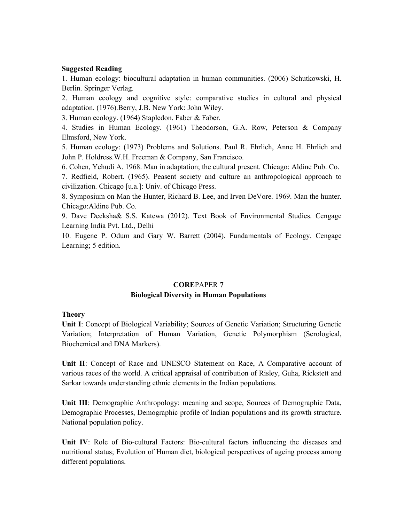#### **Suggested Reading**

1. Human ecology: biocultural adaptation in human communities. (2006) Schutkowski, H. Berlin. Springer Verlag.

2. Human ecology and cognitive style: comparative studies in cultural and physical adaptation. (1976).Berry, J.B. New York: John Wiley.

3. Human ecology. (1964) Stapledon. Faber & Faber.

4. Studies in Human Ecology. (1961) Theodorson, G.A. Row, Peterson & Company Elmsford, New York.

5. Human ecology: (1973) Problems and Solutions. Paul R. Ehrlich, Anne H. Ehrlich and John P. Holdress.W.H. Freeman & Company, San Francisco.

6. Cohen, Yehudi A. 1968. Man in adaptation; the cultural present. Chicago: Aldine Pub. Co.

7. Redfield, Robert. (1965). Peasent society and culture an anthropological approach to civilization. Chicago [u.a.]: Univ. of Chicago Press.

8. Symposium on Man the Hunter, Richard B. Lee, and Irven DeVore. 1969. Man the hunter. Chicago:Aldine Pub. Co.

9. Dave Deeksha& S.S. Katewa (2012). Text Book of Environmental Studies. Cengage Learning India Pvt. Ltd., Delhi

10. Eugene P. Odum and Gary W. Barrett (2004). Fundamentals of Ecology. Cengage Learning; 5 edition.

# **CORE**PAPER **7 Biological Diversity in Human Populations**

#### **Theory**

**Unit I**: Concept of Biological Variability; Sources of Genetic Variation; Structuring Genetic Variation; Interpretation of Human Variation, Genetic Polymorphism (Serological, Biochemical and DNA Markers).

**Unit II**: Concept of Race and UNESCO Statement on Race, A Comparative account of various races of the world. A critical appraisal of contribution of Risley, Guha, Rickstett and Sarkar towards understanding ethnic elements in the Indian populations.

**Unit III**: Demographic Anthropology: meaning and scope, Sources of Demographic Data, Demographic Processes, Demographic profile of Indian populations and its growth structure. National population policy.

**Unit IV**: Role of Bio-cultural Factors: Bio-cultural factors influencing the diseases and nutritional status; Evolution of Human diet, biological perspectives of ageing process among different populations.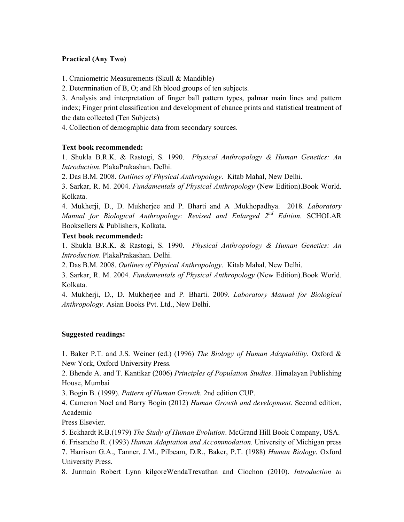#### **Practical (Any Two)**

1. Craniometric Measurements (Skull & Mandible)

2. Determination of B, O; and Rh blood groups of ten subjects.

3. Analysis and interpretation of finger ball pattern types, palmar main lines and pattern index; Finger print classification and development of chance prints and statistical treatment of the data collected (Ten Subjects)

4. Collection of demographic data from secondary sources.

# **Text book recommended:**

1. Shukla B.R.K. & Rastogi, S. 1990. *Physical Anthropology & Human Genetics: An Introduction*. PlakaPrakashan. Delhi.

2. Das B.M. 2008. *Outlines of Physical Anthropology*. Kitab Mahal, New Delhi.

3. Sarkar, R. M. 2004. *Fundamentals of Physical Anthropology* (New Edition).Book World. Kolkata.

4. Mukherji, D., D. Mukherjee and P. Bharti and A .Mukhopadhya. 2018. *Laboratory Manual for Biological Anthropology: Revised and Enlarged 2nd Edition*. SCHOLAR Booksellers & Publishers, Kolkata.

# **Text book recommended:**

1. Shukla B.R.K. & Rastogi, S. 1990. *Physical Anthropology & Human Genetics: An Introduction*. PlakaPrakashan. Delhi.

2. Das B.M. 2008. *Outlines of Physical Anthropology*. Kitab Mahal, New Delhi.

3. Sarkar, R. M. 2004. *Fundamentals of Physical Anthropology* (New Edition).Book World. Kolkata.

4. Mukherji, D., D. Mukherjee and P. Bharti. 2009. *Laboratory Manual for Biological Anthropology*. Asian Books Pvt. Ltd., New Delhi.

# **Suggested readings:**

1. Baker P.T. and J.S. Weiner (ed.) (1996) *The Biology of Human Adaptability*. Oxford & New York, Oxford University Press.

2. Bhende A. and T. Kantikar (2006) *Principles of Population Studies*. Himalayan Publishing House, Mumbai

3. Bogin B. (1999). *Pattern of Human Growth*. 2nd edition CUP.

4. Cameron Noel and Barry Bogin (2012) *Human Growth and development*. Second edition, Academic

Press Elsevier.

5. Eckhardt R.B.(1979) *The Study of Human Evolution*. McGrand Hill Book Company, USA.

6. Frisancho R. (1993) *Human Adaptation and Accommodation*. University of Michigan press

7. Harrison G.A., Tanner, J.M., Pilbeam, D.R., Baker, P.T. (1988) *Human Biology*. Oxford University Press.

8. Jurmain Robert Lynn kilgoreWendaTrevathan and Ciochon (2010). *Introduction to*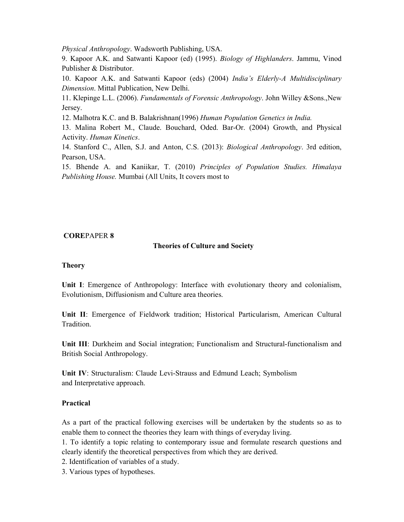*Physical Anthropology*. Wadsworth Publishing, USA.

9. Kapoor A.K. and Satwanti Kapoor (ed) (1995). *Biology of Highlanders*. Jammu, Vinod Publisher & Distributor.

10. Kapoor A.K. and Satwanti Kapoor (eds) (2004) *India's Elderly-A Multidisciplinary Dimension*. Mittal Publication, New Delhi.

11. Klepinge L.L. (2006). *Fundamentals of Forensic Anthropology*. John Willey &Sons.,New Jersey.

12. Malhotra K.C. and B. Balakrishnan(1996) *Human Population Genetics in India.* 

13. Malina Robert M., Claude. Bouchard, Oded. Bar-Or. (2004) Growth, and Physical Activity. *Human Kinetics*.

14. Stanford C., Allen, S.J. and Anton, C.S. (2013): *Biological Anthropology*. 3rd edition, Pearson, USA.

15. Bhende A. and Kaniikar, T. (2010) *Principles of Population Studies. Himalaya Publishing House.* Mumbai (All Units, It covers most to

# **CORE**PAPER **8**

# **Theories of Culture and Society**

#### **Theory**

**Unit I**: Emergence of Anthropology: Interface with evolutionary theory and colonialism, Evolutionism, Diffusionism and Culture area theories.

**Unit II**: Emergence of Fieldwork tradition; Historical Particularism, American Cultural Tradition.

**Unit III**: Durkheim and Social integration; Functionalism and Structural-functionalism and British Social Anthropology.

**Unit IV**: Structuralism: Claude Levi-Strauss and Edmund Leach; Symbolism and Interpretative approach.

# **Practical**

As a part of the practical following exercises will be undertaken by the students so as to enable them to connect the theories they learn with things of everyday living.

1. To identify a topic relating to contemporary issue and formulate research questions and clearly identify the theoretical perspectives from which they are derived.

2. Identification of variables of a study.

3. Various types of hypotheses.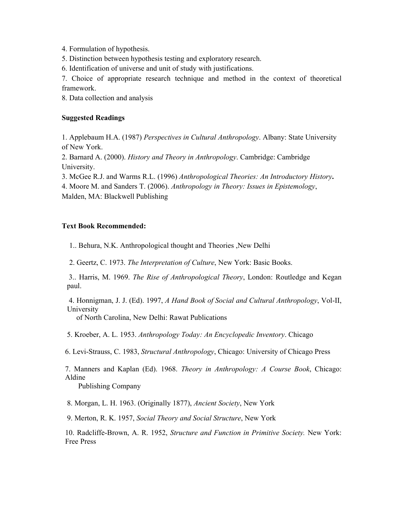4. Formulation of hypothesis.

5. Distinction between hypothesis testing and exploratory research.

6. Identification of universe and unit of study with justifications.

7. Choice of appropriate research technique and method in the context of theoretical framework.

8. Data collection and analysis

#### **Suggested Readings**

1. Applebaum H.A. (1987) *Perspectives in Cultural Anthropology*. Albany: State University of New York.

2. Barnard A. (2000). *History and Theory in Anthropology*. Cambridge: Cambridge University.

3. McGee R.J. and Warms R.L. (1996) *Anthropological Theories: An Introductory History***.** 

4. Moore M. and Sanders T. (2006). *Anthropology in Theory: Issues in Epistemology*,

Malden, MA: Blackwell Publishing

# **Text Book Recommended:**

1.. Behura, N.K. Anthropological thought and Theories ,New Delhi

2. Geertz, C. 1973. *The Interpretation of Culture*, New York: Basic Books.

 3.. Harris, M. 1969. *The Rise of Anthropological Theory*, London: Routledge and Kegan paul.

 4. Honnigman, J. J. (Ed). 1997, *A Hand Book of Social and Cultural Anthropology*, Vol-II, University

of North Carolina, New Delhi: Rawat Publications

5. Kroeber, A. L. 1953. *Anthropology Today: An Encyclopedic Inventory*. Chicago

6. Levi-Strauss, C. 1983, *Structural Anthropology*, Chicago: University of Chicago Press

7. Manners and Kaplan (Ed). 1968. *Theory in Anthropology: A Course Book*, Chicago: Aldine

Publishing Company

8. Morgan, L. H. 1963. (Originally 1877), *Ancient Society*, New York

9. Merton, R. K. 1957, *Social Theory and Social Structure*, New York

10. Radcliffe-Brown, A. R. 1952, *Structure and Function in Primitive Society.* New York: Free Press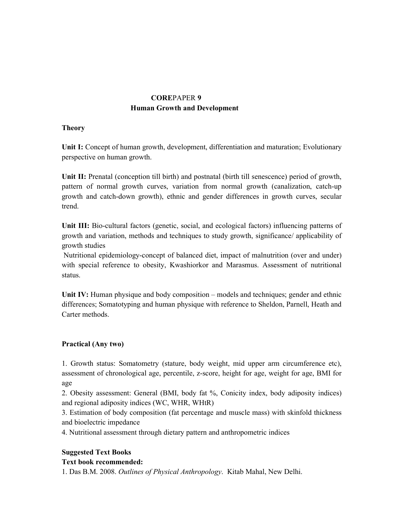# **CORE**PAPER **9 Human Growth and Development**

# **Theory**

**Unit I:** Concept of human growth, development, differentiation and maturation; Evolutionary perspective on human growth.

**Unit II:** Prenatal (conception till birth) and postnatal (birth till senescence) period of growth, pattern of normal growth curves, variation from normal growth (canalization, catch-up growth and catch-down growth), ethnic and gender differences in growth curves, secular trend.

**Unit III:** Bio-cultural factors (genetic, social, and ecological factors) influencing patterns of growth and variation, methods and techniques to study growth, significance/ applicability of growth studies

 Nutritional epidemiology-concept of balanced diet, impact of malnutrition (over and under) with special reference to obesity, Kwashiorkor and Marasmus. Assessment of nutritional status.

**Unit IV:** Human physique and body composition – models and techniques; gender and ethnic differences; Somatotyping and human physique with reference to Sheldon, Parnell, Heath and Carter methods.

# **Practical (Any two)**

1. Growth status: Somatometry (stature, body weight, mid upper arm circumference etc), assessment of chronological age, percentile, z-score, height for age, weight for age, BMI for age

2. Obesity assessment: General (BMI, body fat %, Conicity index, body adiposity indices) and regional adiposity indices (WC, WHR, WHtR)

3. Estimation of body composition (fat percentage and muscle mass) with skinfold thickness and bioelectric impedance

4. Nutritional assessment through dietary pattern and anthropometric indices

# **Suggested Text Books**

# **Text book recommended:**

1. Das B.M. 2008. *Outlines of Physical Anthropology*. Kitab Mahal, New Delhi.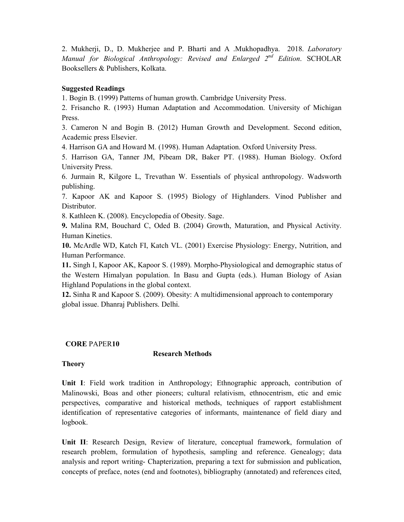2. Mukherji, D., D. Mukherjee and P. Bharti and A .Mukhopadhya. 2018. *Laboratory Manual for Biological Anthropology: Revised and Enlarged 2nd Edition*. SCHOLAR Booksellers & Publishers, Kolkata.

#### **Suggested Readings**

1. Bogin B. (1999) Patterns of human growth. Cambridge University Press.

2. Frisancho R. (1993) Human Adaptation and Accommodation. University of Michigan Press.

3. Cameron N and Bogin B. (2012) Human Growth and Development. Second edition, Academic press Elsevier.

4. Harrison GA and Howard M. (1998). Human Adaptation. Oxford University Press.

5. Harrison GA, Tanner JM, Pibeam DR, Baker PT. (1988). Human Biology. Oxford University Press.

6. Jurmain R, Kilgore L, Trevathan W. Essentials of physical anthropology. Wadsworth publishing.

7. Kapoor AK and Kapoor S. (1995) Biology of Highlanders. Vinod Publisher and Distributor.

8. Kathleen K. (2008). Encyclopedia of Obesity. Sage.

**9.** Malina RM, Bouchard C, Oded B. (2004) Growth, Maturation, and Physical Activity. Human Kinetics.

**10.** McArdle WD, Katch FI, Katch VL. (2001) Exercise Physiology: Energy, Nutrition, and Human Performance.

**11.** Singh I, Kapoor AK, Kapoor S. (1989). Morpho-Physiological and demographic status of the Western Himalyan population. In Basu and Gupta (eds.). Human Biology of Asian Highland Populations in the global context.

**12.** Sinha R and Kapoor S. (2009). Obesity: A multidimensional approach to contemporary global issue. Dhanraj Publishers. Delhi.

#### **CORE** PAPER**10**

#### **Research Methods**

#### **Theory**

**Unit I**: Field work tradition in Anthropology; Ethnographic approach, contribution of Malinowski, Boas and other pioneers; cultural relativism, ethnocentrism, etic and emic perspectives, comparative and historical methods, techniques of rapport establishment identification of representative categories of informants, maintenance of field diary and logbook.

**Unit II**: Research Design, Review of literature, conceptual framework, formulation of research problem, formulation of hypothesis, sampling and reference. Genealogy; data analysis and report writing- Chapterization, preparing a text for submission and publication, concepts of preface, notes (end and footnotes), bibliography (annotated) and references cited,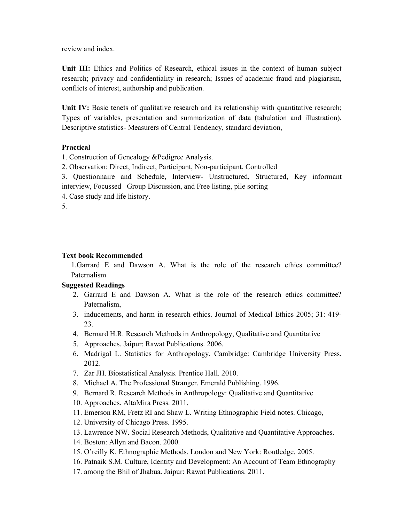review and index.

**Unit III:** Ethics and Politics of Research, ethical issues in the context of human subject research; privacy and confidentiality in research; Issues of academic fraud and plagiarism, conflicts of interest, authorship and publication.

Unit IV: Basic tenets of qualitative research and its relationship with quantitative research; Types of variables, presentation and summarization of data (tabulation and illustration). Descriptive statistics- Measurers of Central Tendency, standard deviation,

# **Practical**

1. Construction of Genealogy &Pedigree Analysis.

2. Observation: Direct, Indirect, Participant, Non-participant, Controlled

3. Questionnaire and Schedule, Interview- Unstructured, Structured, Key informant interview, Focussed Group Discussion, and Free listing, pile sorting

4. Case study and life history.

5.

#### **Text book Recommended**

1.Garrard E and Dawson A. What is the role of the research ethics committee? Paternalism

# **Suggested Readings**

- 2. Garrard E and Dawson A. What is the role of the research ethics committee? Paternalism,
- 3. inducements, and harm in research ethics. Journal of Medical Ethics 2005; 31: 419- 23.
- 4. Bernard H.R. Research Methods in Anthropology, Qualitative and Quantitative
- 5. Approaches. Jaipur: Rawat Publications. 2006.
- 6. Madrigal L. Statistics for Anthropology. Cambridge: Cambridge University Press. 2012.
- 7. Zar JH. Biostatistical Analysis. Prentice Hall. 2010.
- 8. Michael A. The Professional Stranger. Emerald Publishing. 1996.
- 9. Bernard R. Research Methods in Anthropology: Qualitative and Quantitative
- 10. Approaches. AltaMira Press. 2011.
- 11. Emerson RM, Fretz RI and Shaw L. Writing Ethnographic Field notes. Chicago,
- 12. University of Chicago Press. 1995.
- 13. Lawrence NW. Social Research Methods, Qualitative and Quantitative Approaches.
- 14. Boston: Allyn and Bacon. 2000.
- 15. O'reilly K. Ethnographic Methods. London and New York: Routledge. 2005.
- 16. Patnaik S.M. Culture, Identity and Development: An Account of Team Ethnography
- 17. among the Bhil of Jhabua. Jaipur: Rawat Publications. 2011.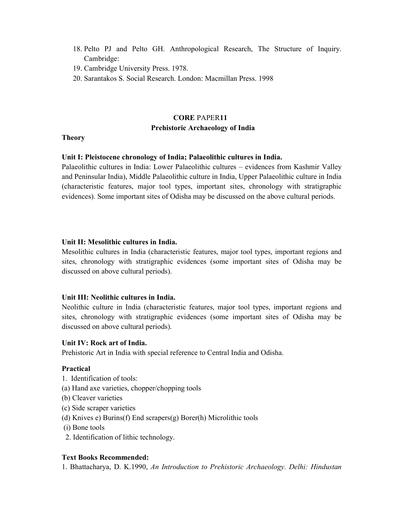- 18. Pelto PJ and Pelto GH. Anthropological Research, The Structure of Inquiry. Cambridge:
- 19. Cambridge University Press. 1978.
- 20. Sarantakos S. Social Research. London: Macmillan Press. 1998

# **CORE** PAPER**11 Prehistoric Archaeology of India**

#### **Theory**

#### **Unit I: Pleistocene chronology of India; Palaeolithic cultures in India.**

Palaeolithic cultures in India: Lower Palaeolithic cultures – evidences from Kashmir Valley and Peninsular India), Middle Palaeolithic culture in India, Upper Palaeolithic culture in India (characteristic features, major tool types, important sites, chronology with stratigraphic evidences). Some important sites of Odisha may be discussed on the above cultural periods.

#### **Unit II: Mesolithic cultures in India.**

Mesolithic cultures in India (characteristic features, major tool types, important regions and sites, chronology with stratigraphic evidences (some important sites of Odisha may be discussed on above cultural periods).

#### **Unit III: Neolithic cultures in India.**

Neolithic culture in India (characteristic features, major tool types, important regions and sites, chronology with stratigraphic evidences (some important sites of Odisha may be discussed on above cultural periods).

#### **Unit IV: Rock art of India.**

Prehistoric Art in India with special reference to Central India and Odisha.

#### **Practical**

- 1. Identification of tools:
- (a) Hand axe varieties, chopper/chopping tools
- (b) Cleaver varieties
- (c) Side scraper varieties
- (d) Knives e) Burins(f) End scrapers(g) Borer(h) Microlithic tools
- (i) Bone tools
- 2. Identification of lithic technology.

#### **Text Books Recommended:**

1. Bhattacharya, D. K.1990, *An Introduction to Prehistoric Archaeology. Delhi: Hindustan*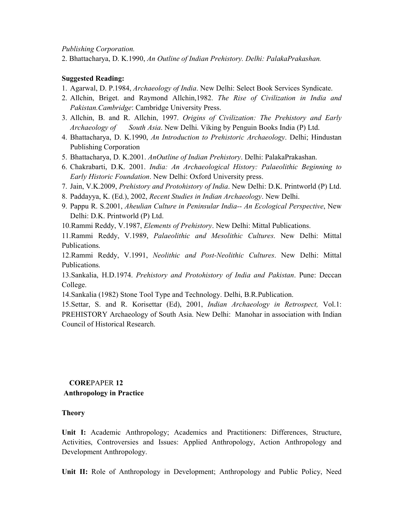*Publishing Corporation.* 

2. Bhattacharya, D. K.1990, *An Outline of Indian Prehistory. Delhi: PalakaPrakashan.* 

# **Suggested Reading:**

- 1. Agarwal, D. P.1984, *Archaeology of India*. New Delhi: Select Book Services Syndicate.
- 2. Allchin, Briget. and Raymond Allchin,1982. *The Rise of Civilization in India and Pakistan.Cambridge*: Cambridge University Press.
- 3. Allchin, B. and R. Allchin, 1997. *Origins of Civilization: The Prehistory and Early Archaeology of South Asia*. New Delhi. Viking by Penguin Books India (P) Ltd.
- 4. Bhattacharya, D. K.1990, *An Introduction to Prehistoric Archaeology*. Delhi; Hindustan Publishing Corporation
- 5. Bhattacharya, D. K.2001. *AnOutline of Indian Prehistory*. Delhi: PalakaPrakashan.
- 6. Chakrabarti, D.K. 2001. *India: An Archaeological History: Palaeolithic Beginning to Early Historic Foundation*. New Delhi: Oxford University press.
- 7. Jain, V.K.2009, *Prehistory and Protohistory of India*. New Delhi: D.K. Printworld (P) Ltd.
- 8. Paddayya, K. (Ed.), 2002, *Recent Studies in Indian Archaeology*. New Delhi.
- 9. Pappu R. S.2001, *Aheulian Culture in Peninsular India-- An Ecological Perspective*, New Delhi: D.K. Printworld (P) Ltd.

10.Rammi Reddy, V.1987, *Elements of Prehistory*. New Delhi: Mittal Publications.

11.Rammi Reddy, V.1989, *Palaeolithic and Mesolithic Cultures*. New Delhi: Mittal Publications.

12.Rammi Reddy, V.1991, *Neolithic and Post-Neolithic Cultures*. New Delhi: Mittal Publications.

13.Sankalia, H.D.1974. *Prehistory and Protohistory of India and Pakistan*. Pune: Deccan College.

14.Sankalia (1982) Stone Tool Type and Technology. Delhi, B.R.Publication.

15.Settar, S. and R. Korisettar (Ed), 2001, *Indian Archaeology in Retrospect,* Vol.1: PREHISTORY Archaeology of South Asia. New Delhi: Manohar in association with Indian Council of Historical Research.

# **CORE**PAPER **12 Anthropology in Practice**

# **Theory**

**Unit I:** Academic Anthropology; Academics and Practitioners: Differences, Structure, Activities, Controversies and Issues: Applied Anthropology, Action Anthropology and Development Anthropology.

**Unit II:** Role of Anthropology in Development; Anthropology and Public Policy, Need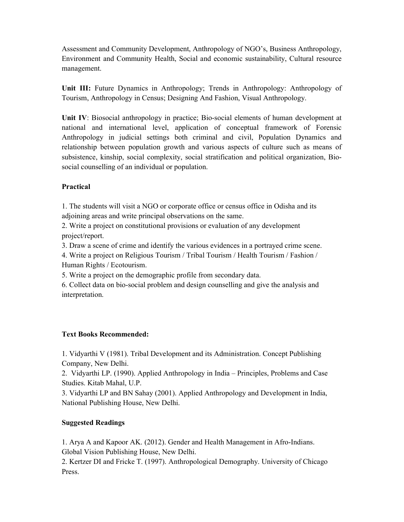Assessment and Community Development, Anthropology of NGO's, Business Anthropology, Environment and Community Health, Social and economic sustainability, Cultural resource management.

**Unit III:** Future Dynamics in Anthropology; Trends in Anthropology: Anthropology of Tourism, Anthropology in Census; Designing And Fashion, Visual Anthropology.

**Unit IV**: Biosocial anthropology in practice; Bio-social elements of human development at national and international level, application of conceptual framework of Forensic Anthropology in judicial settings both criminal and civil, Population Dynamics and relationship between population growth and various aspects of culture such as means of subsistence, kinship, social complexity, social stratification and political organization, Biosocial counselling of an individual or population.

# **Practical**

1. The students will visit a NGO or corporate office or census office in Odisha and its adjoining areas and write principal observations on the same.

2. Write a project on constitutional provisions or evaluation of any development project/report.

3. Draw a scene of crime and identify the various evidences in a portrayed crime scene.

4. Write a project on Religious Tourism / Tribal Tourism / Health Tourism / Fashion / Human Rights / Ecotourism.

5. Write a project on the demographic profile from secondary data.

6. Collect data on bio-social problem and design counselling and give the analysis and interpretation.

# **Text Books Recommended:**

1. Vidyarthi V (1981). Tribal Development and its Administration. Concept Publishing Company, New Delhi.

2. Vidyarthi LP. (1990). Applied Anthropology in India – Principles, Problems and Case Studies. Kitab Mahal, U.P.

3. Vidyarthi LP and BN Sahay (2001). Applied Anthropology and Development in India, National Publishing House, New Delhi.

# **Suggested Readings**

1. Arya A and Kapoor AK. (2012). Gender and Health Management in Afro-Indians. Global Vision Publishing House, New Delhi.

2. Kertzer DI and Fricke T. (1997). Anthropological Demography. University of Chicago Press.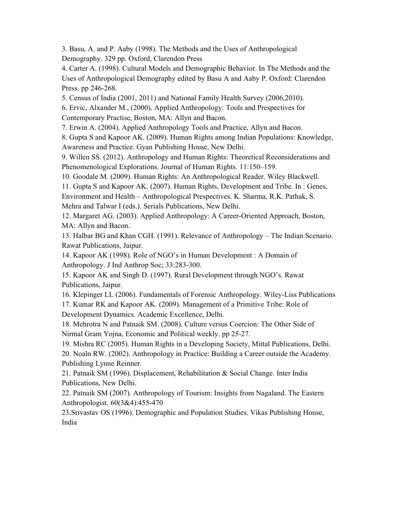3. Basu, A. and P. Aaby (1998). The Methods and the Uses of Anthropological Demography. 329 pp. Oxford, Clarendon Press

4. Carter A. (1998). Cultural Models and Demographic Behavior. In The Methods and the Uses of Anthropological Demography edited by Basu A and Aaby P. Oxford: Clarendon Press. pp 246-268.

5. Census of India (2001, 2011) and National Family Health Survey (2006,2010).

6. Ervic, Alxander M., (2000). Applied Anthropology: Tools and Prespectives for

Contemporary Practise, Boston, MA: Allyn and Bacon.

7. Erwin A. (2004). Applied Anthropology Tools and Practice, Allyn and Bacon.

8. Gupta S and Kapoor AK. (2009). Human Rights among Indian Populations: Knowledge, Awareness and Practice. Gyan Publishing House, New Delhi.

9. Willen SS. (2012). Anthropology and Human Rights: Theoretical Reconsiderations and Phenomenological Explorations. Journal of Human Rights. 11:150–159.

10. Goodale M. (2009). Human Rights: An Anthropological Reader. Wiley Blackwell.

11. Gupta S and Kapoor AK. (2007). Human Rights, Development and Tribe. In : Genes, Environment and Health – Anthropological Prespectives. K. Sharma, R.K. Pathak, S.

Mehra and Talwar I (eds.). Serials Publications, New Delhi.

12. Margaret AG. (2003). Applied Anthropology: A Career-Oriented Approach, Boston, MA: Allyn and Bacon.

13. Halbar BG and Khan CGH. (1991). Relevance of Anthropology – The Indian Scenario. Rawat Publications, Jaipur.

14. Kapoor AK (1998). Role of NGO's in Human Development : A Domain of Anthropology. J Ind Anthrop Soc; 33:283-300.

15. Kapoor AK and Singh D. (1997). Rural Development through NGO's. Rawat Publications, Jaipur.

16. Klepinger LL (2006). Fundamentals of Forensic Anthropology. Wiley-Liss Publications

17. Kumar RK and Kapoor AK. (2009). Management of a Primitive Tribe: Role of Development Dynamics. Academic Excellence, Delhi.

18. Mehrotra N and Patnaik SM. (2008). Culture versus Coercion: The Other Side of Nirmal Gram Yojna, Economic and Political weekly. pp 25-27.

19. Mishra RC (2005). Human Rights in a Developing Society, Mittal Publications, Delhi. 20. Noaln RW. (2002). Anthropology in Practice: Building a Career outside the Academy. Publishing Lynne Reinner.

21. Patnaik SM (1996). Displacement, Rehabilitation & Social Change. Inter India Publications, New Delhi.

22. Patnaik SM (2007). Anthropology of Tourism: Insights from Nagaland. The Eastern Anthropologist. 60(3&4):455-470

23.Srivastav OS (1996). Demographic and Population Studies. Vikas Publishing House, India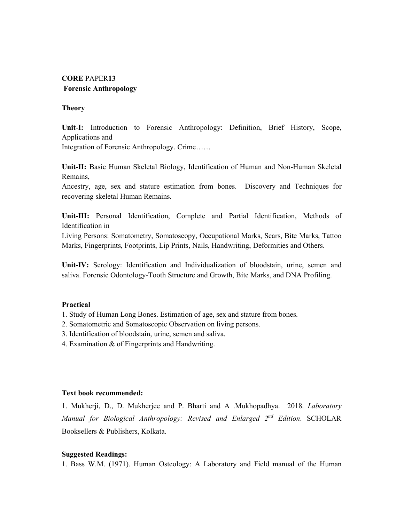# **CORE** PAPER**13 Forensic Anthropology**

#### **Theory**

**Unit-I:** Introduction to Forensic Anthropology: Definition, Brief History, Scope, Applications and

Integration of Forensic Anthropology. Crime……

**Unit-II:** Basic Human Skeletal Biology, Identification of Human and Non-Human Skeletal Remains,

Ancestry, age, sex and stature estimation from bones. Discovery and Techniques for recovering skeletal Human Remains.

**Unit-III:** Personal Identification, Complete and Partial Identification, Methods of Identification in

Living Persons: Somatometry, Somatoscopy, Occupational Marks, Scars, Bite Marks, Tattoo Marks, Fingerprints, Footprints, Lip Prints, Nails, Handwriting, Deformities and Others.

**Unit-IV:** Serology: Identification and Individualization of bloodstain, urine, semen and saliva. Forensic Odontology-Tooth Structure and Growth, Bite Marks, and DNA Profiling.

# **Practical**

- 1. Study of Human Long Bones. Estimation of age, sex and stature from bones.
- 2. Somatometric and Somatoscopic Observation on living persons.
- 3. Identification of bloodstain, urine, semen and saliva.
- 4. Examination & of Fingerprints and Handwriting.

#### **Text book recommended:**

1. Mukherji, D., D. Mukherjee and P. Bharti and A .Mukhopadhya. 2018. *Laboratory Manual for Biological Anthropology: Revised and Enlarged 2nd Edition*. SCHOLAR Booksellers & Publishers, Kolkata.

#### **Suggested Readings:**

1. Bass W.M. (1971). Human Osteology: A Laboratory and Field manual of the Human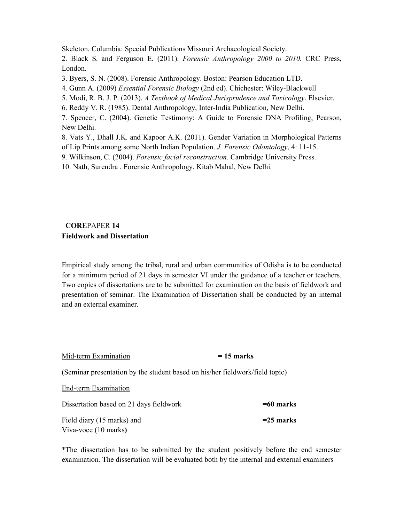Skeleton. Columbia: Special Publications Missouri Archaeological Society.

2. Black S. and Ferguson E. (2011). *Forensic Anthropology 2000 to 2010.* CRC Press, London.

3. Byers, S. N. (2008). Forensic Anthropology. Boston: Pearson Education LTD.

4. Gunn A. (2009) *Essential Forensic Biology* (2nd ed). Chichester: Wiley-Blackwell

5. Modi, R. B. J. P. (2013). *A Textbook of Medical Jurisprudence and Toxicology*. Elsevier.

6. Reddy V. R. (1985). Dental Anthropology, Inter-India Publication, New Delhi.

7. Spencer, C. (2004). Genetic Testimony: A Guide to Forensic DNA Profiling, Pearson, New Delhi.

8. Vats Y., Dhall J.K. and Kapoor A.K. (2011). Gender Variation in Morphological Patterns of Lip Prints among some North Indian Population. *J. Forensic Odontology*, 4: 11-15.

9. Wilkinson, C. (2004). *Forensic facial reconstruction*. Cambridge University Press.

10. Nath, Surendra . Forensic Anthropology. Kitab Mahal, New Delhi.

# **CORE**PAPER **14 Fieldwork and Dissertation**

Empirical study among the tribal, rural and urban communities of Odisha is to be conducted for a minimum period of 21 days in semester VI under the guidance of a teacher or teachers. Two copies of dissertations are to be submitted for examination on the basis of fieldwork and presentation of seminar. The Examination of Dissertation shall be conducted by an internal and an external examiner.

| Mid-term Examination                                                         | $= 15$ marks |
|------------------------------------------------------------------------------|--------------|
| (Seminar presentation by the student based on his/her fieldwork/field topic) |              |
| End-term Examination                                                         |              |
| Dissertation based on 21 days fieldwork                                      | $=60$ marks  |
| Field diary (15 marks) and                                                   | $=$ 25 marks |
| Viva-voce (10 marks)                                                         |              |

\*The dissertation has to be submitted by the student positively before the end semester examination. The dissertation will be evaluated both by the internal and external examiners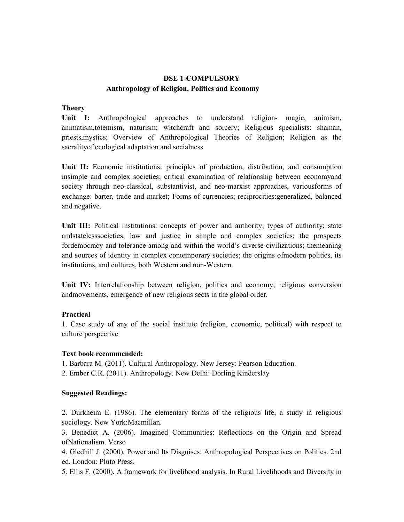# **DSE 1-COMPULSORY Anthropology of Religion, Politics and Economy**

#### **Theory**

**Unit I:** Anthropological approaches to understand religion- magic, animism, animatism,totemism, naturism; witchcraft and sorcery; Religious specialists: shaman, priests,mystics; Overview of Anthropological Theories of Religion; Religion as the sacralityof ecological adaptation and socialness

Unit II: Economic institutions: principles of production, distribution, and consumption insimple and complex societies; critical examination of relationship between economyand society through neo-classical, substantivist, and neo-marxist approaches, variousforms of exchange: barter, trade and market; Forms of currencies; reciprocities:generalized, balanced and negative.

Unit III: Political institutions: concepts of power and authority; types of authority; state andstatelesssocieties; law and justice in simple and complex societies; the prospects fordemocracy and tolerance among and within the world's diverse civilizations; themeaning and sources of identity in complex contemporary societies; the origins ofmodern politics, its institutions, and cultures, both Western and non-Western.

**Unit IV:** Interrelationship between religion, politics and economy; religious conversion andmovements, emergence of new religious sects in the global order.

# **Practical**

1. Case study of any of the social institute (religion, economic, political) with respect to culture perspective

#### **Text book recommended:**

- 1. Barbara M. (2011). Cultural Anthropology. New Jersey: Pearson Education.
- 2. Ember C.R. (2011). Anthropology. New Delhi: Dorling Kinderslay

# **Suggested Readings:**

2. Durkheim E. (1986). The elementary forms of the religious life, a study in religious sociology. New York:Macmillan.

3. Benedict A. (2006). Imagined Communities: Reflections on the Origin and Spread ofNationalism. Verso

4. Gledhill J. (2000). Power and Its Disguises: Anthropological Perspectives on Politics. 2nd ed. London: Pluto Press.

5. Ellis F. (2000). A framework for livelihood analysis. In Rural Livelihoods and Diversity in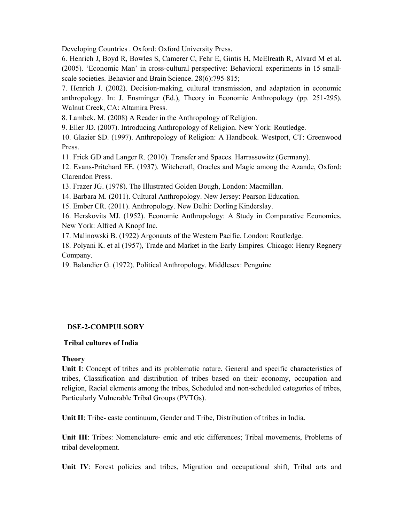Developing Countries . Oxford: Oxford University Press.

6. Henrich J, Boyd R, Bowles S, Camerer C, Fehr E, Gintis H, McElreath R, Alvard M et al. (2005). 'Economic Man' in cross-cultural perspective: Behavioral experiments in 15 smallscale societies. Behavior and Brain Science. 28(6):795-815;

7. Henrich J. (2002). Decision-making, cultural transmission, and adaptation in economic anthropology. In: J. Ensminger (Ed.), Theory in Economic Anthropology (pp. 251-295). Walnut Creek, CA: Altamira Press.

8. Lambek. M. (2008) A Reader in the Anthropology of Religion.

9. Eller JD. (2007). Introducing Anthropology of Religion. New York: Routledge.

10. Glazier SD. (1997). Anthropology of Religion: A Handbook. Westport, CT: Greenwood Press.

11. Frick GD and Langer R. (2010). Transfer and Spaces. Harrassowitz (Germany).

12. Evans-Pritchard EE. (1937). Witchcraft, Oracles and Magic among the Azande, Oxford: Clarendon Press.

13. Frazer JG. (1978). The Illustrated Golden Bough, London: Macmillan.

14. Barbara M. (2011). Cultural Anthropology. New Jersey: Pearson Education.

15. Ember CR. (2011). Anthropology. New Delhi: Dorling Kinderslay.

16. Herskovits MJ. (1952). Economic Anthropology: A Study in Comparative Economics. New York: Alfred A Knopf Inc.

17. Malinowski B. (1922) Argonauts of the Western Pacific. London: Routledge.

18. Polyani K. et al (1957), Trade and Market in the Early Empires. Chicago: Henry Regnery Company.

19. Balandier G. (1972). Political Anthropology. Middlesex: Penguine

# **DSE-2-COMPULSORY**

# **Tribal cultures of India**

# **Theory**

**Unit I**: Concept of tribes and its problematic nature, General and specific characteristics of tribes, Classification and distribution of tribes based on their economy, occupation and religion, Racial elements among the tribes, Scheduled and non-scheduled categories of tribes, Particularly Vulnerable Tribal Groups (PVTGs).

**Unit II**: Tribe- caste continuum, Gender and Tribe, Distribution of tribes in India.

**Unit III**: Tribes: Nomenclature- emic and etic differences; Tribal movements, Problems of tribal development.

**Unit IV**: Forest policies and tribes, Migration and occupational shift, Tribal arts and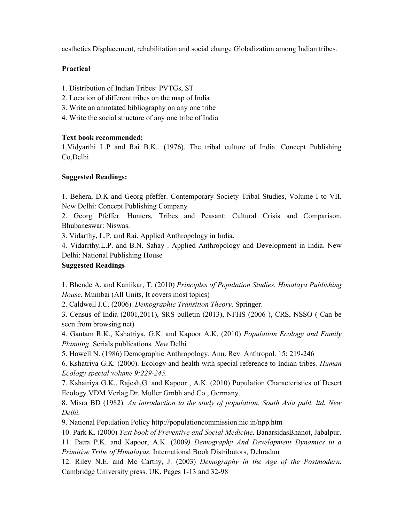aesthetics Displacement, rehabilitation and social change Globalization among Indian tribes.

# **Practical**

- 1. Distribution of Indian Tribes: PVTGs, ST
- 2. Location of different tribes on the map of India
- 3. Write an annotated bibliography on any one tribe
- 4. Write the social structure of any one tribe of India

# **Text book recommended:**

1.Vidyarthi L.P and Rai B.K.. (1976). The tribal culture of India. Concept Publishing Co,Delhi

# **Suggested Readings:**

1. Behera, D.K and Georg pfeffer. Contemporary Society Tribal Studies, Volume I to VII. New Delhi: Concept Publishing Company

2. Georg Pfeffer. Hunters, Tribes and Peasant: Cultural Crisis and Comparison. Bhubaneswar: Niswas.

3. Vidarthy, L.P. and Rai. Applied Anthropology in India.

4. Vidarrthy.L.P. and B.N. Sahay . Applied Anthropology and Development in India. New Delhi: National Publishing House

# **Suggested Readings**

1. Bhende A. and Kaniikar, T. (2010) *Principles of Population Studies. Himalaya Publishing House.* Mumbai (All Units, It covers most topics)

2. Caldwell J.C. (2006). *Demographic Transition Theory*. Springer.

3. Census of India (2001,2011), SRS bulletin (2013), NFHS (2006 ), CRS, NSSO ( Can be seen from browsing net)

4. Gautam R.K., Kshatriya, G.K. and Kapoor A.K. (2010) *Population Ecology and Family Planning*. Serials publications*. New* Delhi*.* 

5. Howell N. (1986) Demographic Anthropology. Ann. Rev. Anthropol. 15: 219-246

6. Kshatriya G.K*.* (2000). Ecology and health with special reference to Indian tribes*. Human Ecology special volume 9:229-245.* 

7. Kshatriya G.K., Rajesh,G. and Kapoor , A.K. (2010) Population Characteristics of Desert Ecology.VDM Verlag Dr. Muller Gmbh and Co., Germany.

8. Misra BD (1982). *An introduction to the study of population. South Asia publ. ltd. New Delhi.* 

9. National Population Policy http://populationcommission.nic.in/npp.htm

10. Park K. (2000) *Text book of Preventive and Social Medicine*. BanarsidasBhanot, Jabalpur.

11. Patra P.K. and Kapoor, A.K. (2009*) Demography And Development Dynamics in a Primitive Tribe of Himalayas.* International Book Distributors, Dehradun

12. Riley N.E. and Mc Carthy, J. (2003) *Demography in the Age of the Postmodern*. Cambridge University press. UK. Pages 1-13 and 32-98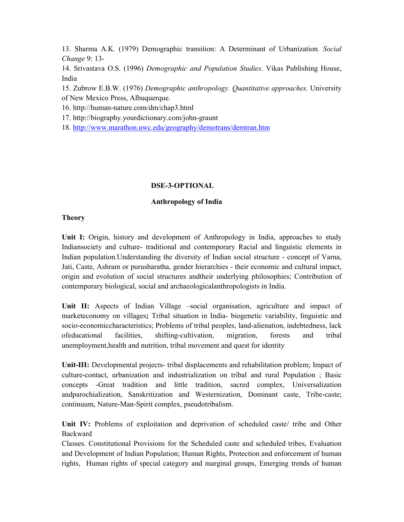13. Sharma A.K. (1979) Demographic transition: A Determinant of Urbanization*. Social Change* 9: 13-

14. Srivastava O.S. (1996) *Demographic and Population Studies*. Vikas Publishing House, India

15. Zubrow E.B.W. (1976) *Demographic anthropology. Quantitative approaches.* University of New Mexico Press, Albuquerque.

16. http://human-nature.com/dm/chap3.html

17. http://biography.yourdictionary.com/john-graunt

18. http://www.marathon.uwc.edu/geography/demotrans/demtran.htm

# **DSE-3-OPTIONAL**

# **Anthropology of India**

#### **Theory**

Unit I: Origin, history and development of Anthropology in India, approaches to study Indiansociety and culture- traditional and contemporary Racial and linguistic elements in Indian population.Understanding the diversity of Indian social structure - concept of Varna, Jati, Caste, Ashram or purusharatha, gender hierarchies - their economic and cultural impact, origin and evolution of social structures andtheir underlying philosophies; Contribution of contemporary biological, social and archaeologicalanthropologists in India.

**Unit II:** Aspects of Indian Village –social organisation, agriculture and impact of marketeconomy on villages**;** Tribal situation in India- biogenetic variability, linguistic and socio-economiccharacteristics; Problems of tribal peoples, land-alienation, indebtedness, lack ofeducational facilities, shifting-cultivation, migration, forests and tribal unemployment,health and nutrition, tribal movement and quest for identity

**Unit-III:** Developmental projects- tribal displacements and rehabilitation problem; Impact of culture-contact, urbanization and industrialization on tribal and rural Population ; Basic concepts -Great tradition and little tradition, sacred complex, Universalization andparochialization, Sanskritization and Westernization, Dominant caste, Tribe-caste; continuum, Nature-Man-Spirit complex, pseudotribalism.

**Unit IV:** Problems of exploitation and deprivation of scheduled caste/ tribe and Other Backward

Classes. Constitutional Provisions for the Scheduled caste and scheduled tribes, Evaluation and Development of Indian Population; Human Rights, Protection and enforcement of human rights, Human rights of special category and marginal groups, Emerging trends of human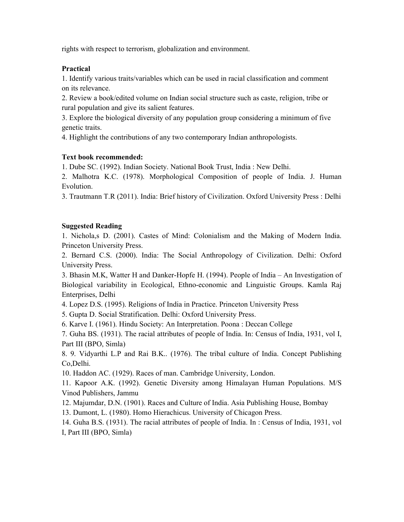rights with respect to terrorism, globalization and environment.

# **Practical**

1. Identify various traits/variables which can be used in racial classification and comment on its relevance.

2. Review a book/edited volume on Indian social structure such as caste, religion, tribe or rural population and give its salient features.

3. Explore the biological diversity of any population group considering a minimum of five genetic traits.

4. Highlight the contributions of any two contemporary Indian anthropologists.

# **Text book recommended:**

1. Dube SC. (1992). Indian Society. National Book Trust, India : New Delhi.

2. Malhotra K.C. (1978). Morphological Composition of people of India. J. Human **Evolution** 

3. Trautmann T.R (2011). India: Brief history of Civilization. Oxford University Press : Delhi

# **Suggested Reading**

1. Nichola,s D. (2001). Castes of Mind: Colonialism and the Making of Modern India. Princeton University Press.

2. Bernard C.S. (2000). India: The Social Anthropology of Civilization. Delhi: Oxford University Press.

3. Bhasin M.K, Watter H and Danker-Hopfe H. (1994). People of India – An Investigation of Biological variability in Ecological, Ethno-economic and Linguistic Groups. Kamla Raj Enterprises, Delhi

4. Lopez D.S. (1995). Religions of India in Practice. Princeton University Press

5. Gupta D. Social Stratification. Delhi: Oxford University Press.

6. Karve I. (1961). Hindu Society: An Interpretation. Poona : Deccan College

7. Guha BS. (1931). The racial attributes of people of India. In: Census of India, 1931, vol I, Part III (BPO, Simla)

8. 9. Vidyarthi L.P and Rai B.K.. (1976). The tribal culture of India. Concept Publishing Co,Delhi.

10. Haddon AC. (1929). Races of man. Cambridge University, London.

11. Kapoor A.K. (1992). Genetic Diversity among Himalayan Human Populations. M/S Vinod Publishers, Jammu

12. Majumdar, D.N. (1901). Races and Culture of India. Asia Publishing House, Bombay

13. Dumont, L. (1980). Homo Hierachicus. University of Chicagon Press.

14. Guha B.S. (1931). The racial attributes of people of India. In : Census of India, 1931, vol I, Part III (BPO, Simla)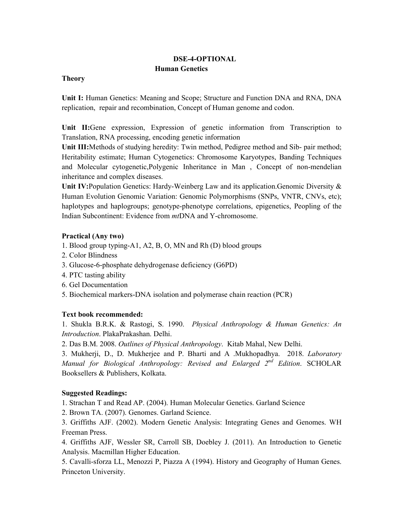# **DSE-4-OPTIONAL Human Genetics**

#### **Theory**

**Unit I:** Human Genetics: Meaning and Scope; Structure and Function DNA and RNA, DNA replication, repair and recombination, Concept of Human genome and codon.

**Unit II:**Gene expression, Expression of genetic information from Transcription to Translation, RNA processing, encoding genetic information

**Unit III:**Methods of studying heredity: Twin method, Pedigree method and Sib- pair method; Heritability estimate; Human Cytogenetics: Chromosome Karyotypes, Banding Techniques and Molecular cytogenetic,Polygenic Inheritance in Man , Concept of non-mendelian inheritance and complex diseases.

**Unit IV:**Population Genetics: Hardy-Weinberg Law and its application.Genomic Diversity & Human Evolution Genomic Variation: Genomic Polymorphisms (SNPs, VNTR, CNVs, etc); haplotypes and haplogroups; genotype-phenotype correlations, epigenetics, Peopling of the Indian Subcontinent: Evidence from *mt*DNA and Y-chromosome.

# **Practical (Any two)**

- 1. Blood group typing-A1, A2, B, O, MN and Rh (D) blood groups
- 2. Color Blindness
- 3. Glucose-6-phosphate dehydrogenase deficiency (G6PD)
- 4. PTC tasting ability
- 6. Gel Documentation
- 5. Biochemical markers-DNA isolation and polymerase chain reaction (PCR)

# **Text book recommended:**

1. Shukla B.R.K. & Rastogi, S. 1990. *Physical Anthropology & Human Genetics: An Introduction*. PlakaPrakashan. Delhi.

2. Das B.M. 2008. *Outlines of Physical Anthropology*. Kitab Mahal, New Delhi.

3. Mukherji, D., D. Mukherjee and P. Bharti and A .Mukhopadhya. 2018. *Laboratory Manual for Biological Anthropology: Revised and Enlarged 2nd Edition*. SCHOLAR Booksellers & Publishers, Kolkata.

# **Suggested Readings:**

1. Strachan T and Read AP. (2004). Human Molecular Genetics. Garland Science

2. Brown TA. (2007). Genomes. Garland Science.

3. Griffiths AJF. (2002). Modern Genetic Analysis: Integrating Genes and Genomes. WH Freeman Press.

4. Griffiths AJF, Wessler SR, Carroll SB, Doebley J. (2011). An Introduction to Genetic Analysis. Macmillan Higher Education.

5. Cavalli-sforza LL, Menozzi P, Piazza A (1994). History and Geography of Human Genes. Princeton University.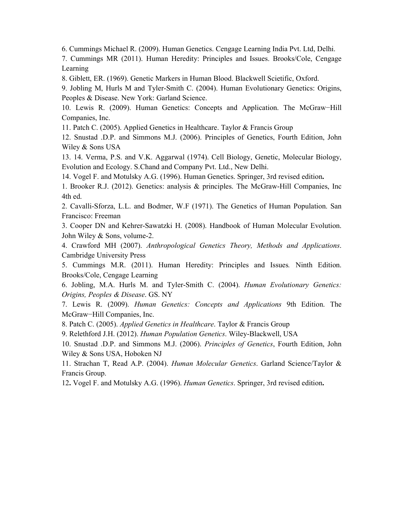6. Cummings Michael R. (2009). Human Genetics. Cengage Learning India Pvt. Ltd, Delhi.

7. Cummings MR (2011). Human Heredity: Principles and Issues. Brooks/Cole, Cengage Learning

8. Giblett, ER. (1969). Genetic Markers in Human Blood. Blackwell Scietific, Oxford.

9. Jobling M, Hurls M and Tyler-Smith C. (2004). Human Evolutionary Genetics: Origins, Peoples & Disease. New York: Garland Science.

10. Lewis R. (2009). Human Genetics: Concepts and Application. The McGraw−Hill Companies, Inc.

11. Patch C. (2005). Applied Genetics in Healthcare. Taylor & Francis Group

12. Snustad .D.P. and Simmons M.J. (2006). Principles of Genetics, Fourth Edition, John Wiley & Sons USA

13. 14. Verma, P.S. and V.K. Aggarwal (1974). Cell Biology, Genetic, Molecular Biology, Evolution and Ecology. S.Chand and Company Pvt. Ltd., New Delhi.

14. Vogel F. and Motulsky A.G. (1996). Human Genetics. Springer, 3rd revised edition**.** 

1. Brooker R.J. (2012). Genetics: analysis & principles. The McGraw-Hill Companies, Inc 4th ed.

2. Cavalli-Sforza, L.L. and Bodmer, W.F (1971). The Genetics of Human Population. San Francisco: Freeman

3. Cooper DN and Kehrer-Sawatzki H. (2008). Handbook of Human Molecular Evolution. John Wiley & Sons, volume-2.

4. Crawford MH (2007). *Anthropological Genetics Theory, Methods and Applications*. Cambridge University Press

5. Cummings M.R. (2011). Human Heredity: Principles and Issues*.* Ninth Edition. Brooks/Cole, Cengage Learning

6. Jobling, M.A. Hurls M. and Tyler-Smith C. (2004). *Human Evolutionary Genetics: Origins, Peoples & Disease*. GS. NY

7. Lewis R. (2009). *Human Genetics: Concepts and Applications* 9th Edition. The McGraw−Hill Companies, Inc.

8. Patch C. (2005). *Applied Genetics in Healthcare*. Taylor & Francis Group

9. Relethford J.H. (2012). *Human Population Genetics*. Wiley-Blackwell, USA

10. Snustad .D.P. and Simmons M.J. (2006). *Principles of Genetics*, Fourth Edition, John Wiley & Sons USA, Hoboken NJ

11. Strachan T, Read A.P. (2004). *Human Molecular Genetics*. Garland Science/Taylor & Francis Group.

12**.** Vogel F. and Motulsky A.G. (1996). *Human Genetics*. Springer, 3rd revised edition**.**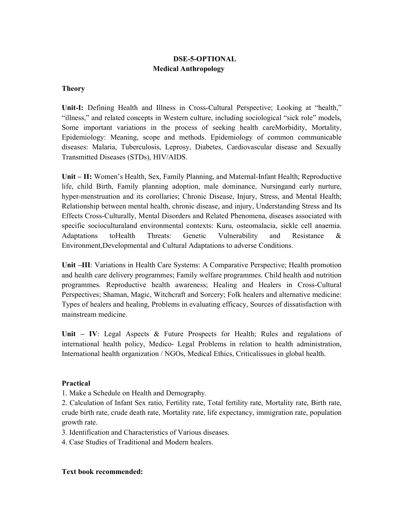# **DSE-5-OPTIONAL Medical Anthropology**

# **Theory**

**Unit-I:** Defining Health and Illness in Cross-Cultural Perspective; Looking at "health," "illness," and related concepts in Western culture, including sociological "sick role" models, Some important variations in the process of seeking health careMorbidity, Mortality, Epidemiology: Meaning, scope and methods. Epidemiology of common communicable diseases: Malaria, Tuberculosis, Leprosy, Diabetes, Cardiovascular disease and Sexually Transmitted Diseases (STDs), HIV/AIDS.

**Unit – II:** Women's Health, Sex, Family Planning, and Maternal-Infant Health; Reproductive life, child Birth, Family planning adoption, male dominance, Nursingand early nurture, hyper-menstruation and its corollaries; Chronic Disease, Injury, Stress, and Mental Health; Relationship between mental health, chronic disease, and injury, Understanding Stress and Its Effects Cross-Culturally, Mental Disorders and Related Phenomena, diseases associated with specific socioculturaland environmental contexts: Kuru, osteomalacia, sickle cell anaemia. Adaptations toHealth Threats: Genetic Vulnerability and Resistance & Environment,Developmental and Cultural Adaptations to adverse Conditions.

**Unit –III**: Variations in Health Care Systems: A Comparative Perspective; Health promotion and health care delivery programmes; Family welfare programmes. Child health and nutrition programmes. Reproductive health awareness; Healing and Healers in Cross-Cultural Perspectives; Shaman, Magic, Witchcraft and Sorcery; Folk healers and alternative medicine: Types of healers and healing, Problems in evaluating efficacy, Sources of dissatisfaction with mainstream medicine.

**Unit – IV**: Legal Aspects & Future Prospects for Health; Rules and regulations of international health policy, Medico- Legal Problems in relation to health administration, International health organization / NGOs, Medical Ethics, Criticalissues in global health.

#### **Practical**

1. Make a Schedule on Health and Demography.

2. Calculation of Infant Sex ratio, Fertility rate, Total fertility rate, Mortality rate, Birth rate, crude birth rate, crude death rate, Mortality rate, life expectancy, immigration rate, population growth rate.

3. Identification and Characteristics of Various diseases.

4. Case Studies of Traditional and Modern healers.

#### **Text book recommended:**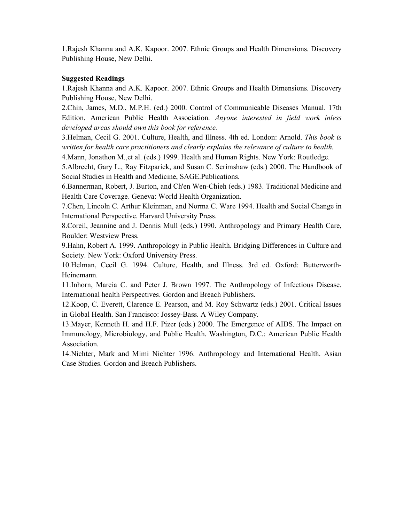1.Rajesh Khanna and A.K. Kapoor. 2007. Ethnic Groups and Health Dimensions. Discovery Publishing House, New Delhi.

# **Suggested Readings**

1.Rajesh Khanna and A.K. Kapoor. 2007. Ethnic Groups and Health Dimensions. Discovery Publishing House, New Delhi.

2.Chin, James, M.D., M.P.H. (ed.) 2000. Control of Communicable Diseases Manual. 17th Edition. American Public Health Association. *Anyone interested in field work inless developed areas should own this book for reference.*

3.Helman, Cecil G. 2001. Culture, Health, and Illness. 4th ed. London: Arnold. *This book is written for health care practitioners and clearly explains the relevance of culture to health.* 

4.Mann, Jonathon M.,et al. (eds.) 1999. Health and Human Rights. New York: Routledge.

5.Albrecht, Gary L., Ray Fitzparick, and Susan C. Scrimshaw (eds.) 2000. The Handbook of Social Studies in Health and Medicine, SAGE.Publications.

6.Bannerman, Robert, J. Burton, and Ch'en Wen-Chieh (eds.) 1983. Traditional Medicine and Health Care Coverage. Geneva: World Health Organization.

7.Chen, Lincoln C. Arthur Kleinman, and Norma C. Ware 1994. Health and Social Change in International Perspective. Harvard University Press.

8.Coreil, Jeannine and J. Dennis Mull (eds.) 1990. Anthropology and Primary Health Care, Boulder: Westview Press.

9.Hahn, Robert A. 1999. Anthropology in Public Health. Bridging Differences in Culture and Society. New York: Oxford University Press.

10.Helman, Cecil G. 1994. Culture, Health, and Illness. 3rd ed. Oxford: Butterworth-Heinemann.

11.Inhorn, Marcia C. and Peter J. Brown 1997. The Anthropology of Infectious Disease. International health Perspectives. Gordon and Breach Publishers.

12.Koop, C. Everett, Clarence E. Pearson, and M. Roy Schwartz (eds.) 2001. Critical Issues in Global Health. San Francisco: Jossey-Bass. A Wiley Company.

13.Mayer, Kenneth H. and H.F. Pizer (eds.) 2000. The Emergence of AIDS. The Impact on Immunology, Microbiology, and Public Health. Washington, D.C.: American Public Health Association.

14.Nichter, Mark and Mimi Nichter 1996. Anthropology and International Health. Asian Case Studies. Gordon and Breach Publishers.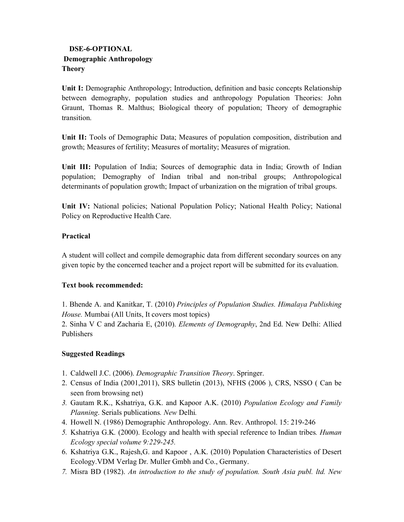# **DSE-6-OPTIONAL Demographic Anthropology Theory**

**Unit I:** Demographic Anthropology; Introduction, definition and basic concepts Relationship between demography, population studies and anthropology Population Theories: John Graunt, Thomas R. Malthus; Biological theory of population; Theory of demographic transition.

**Unit II:** Tools of Demographic Data; Measures of population composition, distribution and growth; Measures of fertility; Measures of mortality; Measures of migration.

**Unit III:** Population of India; Sources of demographic data in India; Growth of Indian population; Demography of Indian tribal and non-tribal groups; Anthropological determinants of population growth; Impact of urbanization on the migration of tribal groups.

**Unit IV:** National policies; National Population Policy; National Health Policy; National Policy on Reproductive Health Care.

# **Practical**

A student will collect and compile demographic data from different secondary sources on any given topic by the concerned teacher and a project report will be submitted for its evaluation.

# **Text book recommended:**

1. Bhende A. and Kanitkar, T. (2010) *Principles of Population Studies. Himalaya Publishing House.* Mumbai (All Units, It covers most topics)

2. Sinha V C and Zacharia E, (2010). *Elements of Demography*, 2nd Ed. New Delhi: Allied Publishers

# **Suggested Readings**

- 1. Caldwell J.C. (2006). *Demographic Transition Theory*. Springer.
- 2. Census of India (2001,2011), SRS bulletin (2013), NFHS (2006 ), CRS, NSSO ( Can be seen from browsing net)
- *3.* Gautam R.K., Kshatriya, G.K. and Kapoor A.K. (2010) *Population Ecology and Family Planning*. Serials publications*. New* Delhi*.*
- 4. Howell N. (1986) Demographic Anthropology. Ann. Rev. Anthropol. 15: 219-246
- *5.* Kshatriya G.K*.* (2000). Ecology and health with special reference to Indian tribes*. Human Ecology special volume 9:229-245.*
- 6. Kshatriya G.K., Rajesh,G. and Kapoor , A.K. (2010) Population Characteristics of Desert Ecology.VDM Verlag Dr. Muller Gmbh and Co., Germany.
- *7.* Misra BD (1982). *An introduction to the study of population. South Asia publ. ltd. New*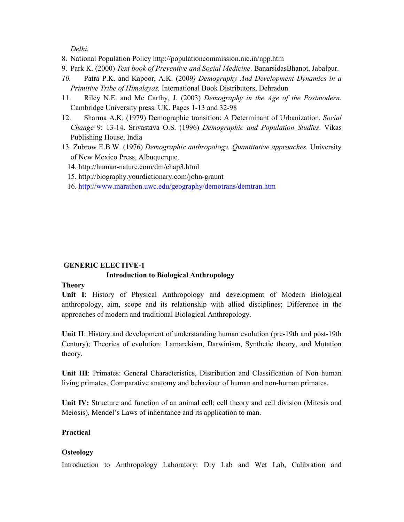*Delhi.* 

- 8. National Population Policy http://populationcommission.nic.in/npp.htm
- 9. Park K. (2000) *Text book of Preventive and Social Medicine*. BanarsidasBhanot, Jabalpur.
- *10.* Patra P.K. and Kapoor, A.K. (2009*) Demography And Development Dynamics in a Primitive Tribe of Himalayas.* International Book Distributors, Dehradun
- 11. Riley N.E. and Mc Carthy, J. (2003) *Demography in the Age of the Postmodern*. Cambridge University press. UK. Pages 1-13 and 32-98
- 12. Sharma A.K. (1979) Demographic transition: A Determinant of Urbanization*. Social Change* 9: 13-14. Srivastava O.S. (1996) *Demographic and Population Studies*. Vikas Publishing House, India
- 13. Zubrow E.B.W. (1976) *Demographic anthropology. Quantitative approaches.* University of New Mexico Press, Albuquerque.
	- 14. http://human-nature.com/dm/chap3.html
	- 15. http://biography.yourdictionary.com/john-graunt
	- 16. http://www.marathon.uwc.edu/geography/demotrans/demtran.htm

# **GENERIC ELECTIVE-1**

# **Introduction to Biological Anthropology**

# **Theory**

**Unit I**: History of Physical Anthropology and development of Modern Biological anthropology, aim, scope and its relationship with allied disciplines; Difference in the approaches of modern and traditional Biological Anthropology.

**Unit II**: History and development of understanding human evolution (pre-19th and post-19th Century); Theories of evolution: Lamarckism, Darwinism, Synthetic theory, and Mutation theory.

**Unit III**: Primates: General Characteristics, Distribution and Classification of Non human living primates. Comparative anatomy and behaviour of human and non-human primates.

**Unit IV:** Structure and function of an animal cell; cell theory and cell division (Mitosis and Meiosis), Mendel's Laws of inheritance and its application to man.

# **Practical**

# **Osteology**

Introduction to Anthropology Laboratory: Dry Lab and Wet Lab, Calibration and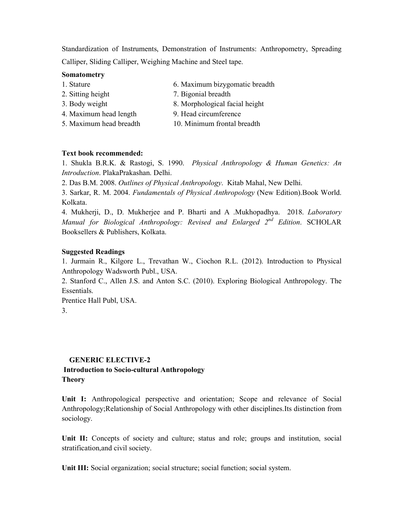Standardization of Instruments, Demonstration of Instruments: Anthropometry, Spreading Calliper, Sliding Calliper, Weighing Machine and Steel tape.

#### **Somatometry**

| 1. Stature        | 6. Maximum bizygomatic breadth |
|-------------------|--------------------------------|
| 2. Sitting height | 7. Bigonial breadth            |

- 
- 3. Body weight 8. Morphological facial height
- 4. Maximum head length 9. Head circumference
- 5. Maximum head breadth 10. Minimum frontal breadth

#### **Text book recommended:**

1. Shukla B.R.K. & Rastogi, S. 1990. *Physical Anthropology & Human Genetics: An Introduction*. PlakaPrakashan. Delhi.

2. Das B.M. 2008. *Outlines of Physical Anthropology*. Kitab Mahal, New Delhi.

3. Sarkar, R. M. 2004. *Fundamentals of Physical Anthropology* (New Edition).Book World. Kolkata.

4. Mukherji, D., D. Mukherjee and P. Bharti and A .Mukhopadhya. 2018. *Laboratory Manual for Biological Anthropology: Revised and Enlarged 2nd Edition*. SCHOLAR Booksellers & Publishers, Kolkata.

#### **Suggested Readings**

1. Jurmain R., Kilgore L., Trevathan W., Ciochon R.L. (2012). Introduction to Physical Anthropology Wadsworth Publ., USA.

2. Stanford C., Allen J.S. and Anton S.C. (2010). Exploring Biological Anthropology. The Essentials.

Prentice Hall Publ, USA. 3.

#### **GENERIC ELECTIVE-2**

# **Introduction to Socio-cultural Anthropology Theory**

**Unit I:** Anthropological perspective and orientation; Scope and relevance of Social Anthropology;Relationship of Social Anthropology with other disciplines.Its distinction from sociology.

Unit II: Concepts of society and culture; status and role; groups and institution, social stratification,and civil society.

Unit III: Social organization; social structure; social function; social system.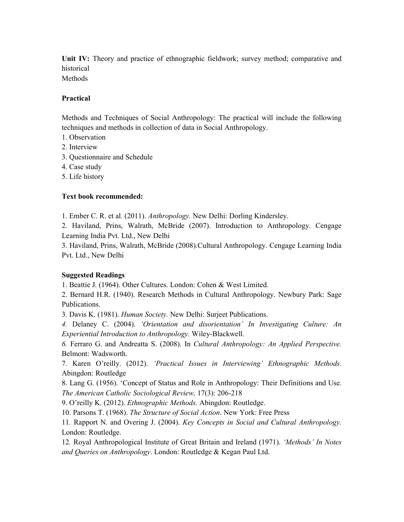**Unit IV:** Theory and practice of ethnographic fieldwork; survey method; comparative and historical

Methods

#### **Practical**

Methods and Techniques of Social Anthropology: The practical will include the following techniques and methods in collection of data in Social Anthropology.

- 1. Observation
- 2. Interview
- 3. Questionnaire and Schedule
- 4. Case study
- 5. Life history

# **Text book recommended:**

1. Ember C. R. et al. (2011). *Anthropology.* New Delhi: Dorling Kindersley.

2. Haviland, Prins, Walrath, McBride (2007). Introduction to Anthropology. Cengage Learning India Pvt. Ltd., New Delhi

3. Haviland, Prins, Walrath, McBride (2008).Cultural Anthropology. Cengage Learning India Pvt. Ltd., New Delhi

# **Suggested Readings**

1. Beattie J. (1964). Other Cultures. London: Cohen & West Limited.

2. Bernard H.R. (1940). Research Methods in Cultural Anthropology. Newbury Park: Sage Publications.

3. Davis K. (1981). *Human Society.* New Delhi: Surjeet Publications.

*4.* Delaney C. (2004). *'Orientation and disorientation' In Investigating Culture: An Experiential Introduction to Anthropology.* Wiley-Blackwell.

*6.* Ferraro G. and Andreatta S. (2008). In *Cultural Anthropology: An Applied Perspective.*  Belmont: Wadsworth.

7*.* Karen O'reilly. (2012). *'Practical Issues in Interviewing' Ethnographic Methods.*  Abingdon: Routledge

8. Lang G. (1956). 'Concept of Status and Role in Anthropology: Their Definitions and Use. *The American Catholic Sociological Review,* 17(3): 206-218

9. O'reilly K. (2012). *Ethnographic Methods.* Abingdon: Routledge.

10. Parsons T. (1968). *The Structure of Social Action*. New York: Free Press

11*.* Rapport N. and Overing J. (2004). *Key Concepts in Social and Cultural Anthropology.*  London: Routledge.

12*.* Royal Anthropological Institute of Great Britain and Ireland (1971). *'Methods' In Notes and Queries on Anthropology*. London: Routledge & Kegan Paul Ltd.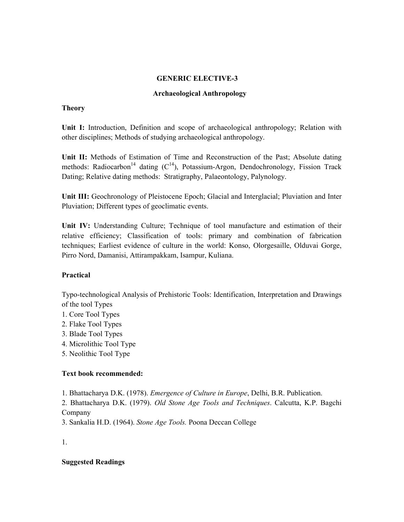#### **GENERIC ELECTIVE-3**

#### **Archaeological Anthropology**

#### **Theory**

**Unit I:** Introduction, Definition and scope of archaeological anthropology; Relation with other disciplines; Methods of studying archaeological anthropology.

**Unit II:** Methods of Estimation of Time and Reconstruction of the Past; Absolute dating methods: Radiocarbon<sup>14</sup> dating  $(C^{14})$ , Potassium-Argon, Dendochronology, Fission Track Dating; Relative dating methods: Stratigraphy, Palaeontology, Palynology.

**Unit III:** Geochronology of Pleistocene Epoch; Glacial and Interglacial; Pluviation and Inter Pluviation; Different types of geoclimatic events.

**Unit IV:** Understanding Culture; Technique of tool manufacture and estimation of their relative efficiency; Classification of tools: primary and combination of fabrication techniques; Earliest evidence of culture in the world: Konso, Olorgesaille, Olduvai Gorge, Pirro Nord, Damanisi, Attirampakkam, Isampur, Kuliana.

# **Practical**

Typo-technological Analysis of Prehistoric Tools: Identification, Interpretation and Drawings of the tool Types

- 1. Core Tool Types
- 2. Flake Tool Types
- 3. Blade Tool Types
- 4. Microlithic Tool Type
- 5. Neolithic Tool Type

# **Text book recommended:**

1. Bhattacharya D.K. (1978). *Emergence of Culture in Europe*, Delhi, B.R. Publication.

2. Bhattacharya D.K. (1979). *Old Stone Age Tools and Techniques*. Calcutta, K.P. Bagchi Company

3. Sankalia H.D. (1964). *Stone Age Tools.* Poona Deccan College

1.

# **Suggested Readings**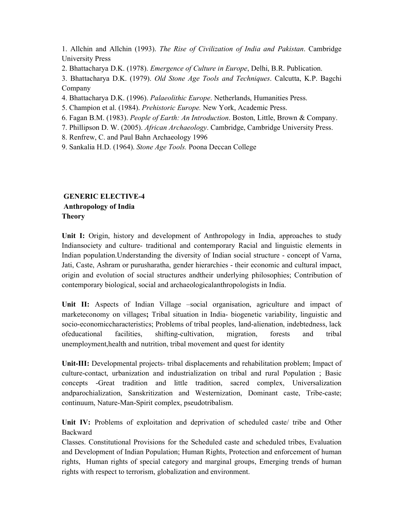1. Allchin and Allchin (1993). *The Rise of Civilization of India and Pakistan*. Cambridge University Press

2. Bhattacharya D.K. (1978). *Emergence of Culture in Europe*, Delhi, B.R. Publication.

3. Bhattacharya D.K. (1979). *Old Stone Age Tools and Techniques*. Calcutta, K.P. Bagchi Company

4. Bhattacharya D.K. (1996). *Palaeolithic Europe*. Netherlands, Humanities Press.

- 5. Champion et al. (1984). *Prehistoric Europe.* New York, Academic Press.
- 6. Fagan B.M. (1983). *People of Earth: An Introduction*. Boston, Little, Brown & Company.
- 7. Phillipson D. W. (2005). *African Archaeology*. Cambridge, Cambridge University Press.

8. Renfrew, C. and Paul Bahn Archaeology 1996

9. Sankalia H.D. (1964). *Stone Age Tools.* Poona Deccan College

# **GENERIC ELECTIVE-4 Anthropology of India Theory**

Unit I: Origin, history and development of Anthropology in India, approaches to study Indiansociety and culture- traditional and contemporary Racial and linguistic elements in Indian population.Understanding the diversity of Indian social structure - concept of Varna, Jati, Caste, Ashram or purusharatha, gender hierarchies - their economic and cultural impact, origin and evolution of social structures andtheir underlying philosophies; Contribution of contemporary biological, social and archaeologicalanthropologists in India.

Unit II: Aspects of Indian Village –social organisation, agriculture and impact of marketeconomy on villages**;** Tribal situation in India- biogenetic variability, linguistic and socio-economiccharacteristics; Problems of tribal peoples, land-alienation, indebtedness, lack ofeducational facilities, shifting-cultivation, migration, forests and tribal unemployment,health and nutrition, tribal movement and quest for identity

**Unit-III:** Developmental projects- tribal displacements and rehabilitation problem; Impact of culture-contact, urbanization and industrialization on tribal and rural Population ; Basic concepts -Great tradition and little tradition, sacred complex, Universalization andparochialization, Sanskritization and Westernization, Dominant caste, Tribe-caste; continuum, Nature-Man-Spirit complex, pseudotribalism.

**Unit IV:** Problems of exploitation and deprivation of scheduled caste/ tribe and Other Backward

Classes. Constitutional Provisions for the Scheduled caste and scheduled tribes, Evaluation and Development of Indian Population; Human Rights, Protection and enforcement of human rights, Human rights of special category and marginal groups, Emerging trends of human rights with respect to terrorism, globalization and environment.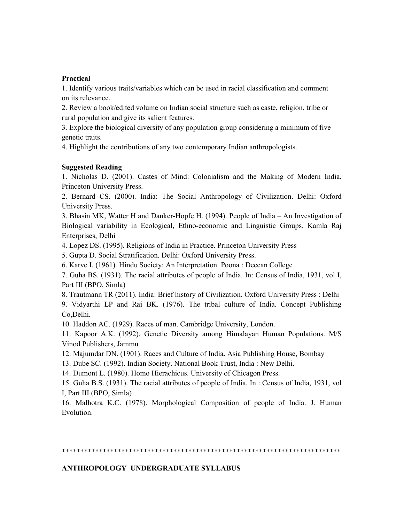#### **Practical**

1. Identify various traits/variables which can be used in racial classification and comment on its relevance.

2. Review a book/edited volume on Indian social structure such as caste, religion, tribe or rural population and give its salient features.

3. Explore the biological diversity of any population group considering a minimum of five genetic traits.

4. Highlight the contributions of any two contemporary Indian anthropologists.

#### **Suggested Reading**

1. Nicholas D. (2001). Castes of Mind: Colonialism and the Making of Modern India. Princeton University Press.

2. Bernard CS. (2000). India: The Social Anthropology of Civilization. Delhi: Oxford University Press.

3. Bhasin MK, Watter H and Danker-Hopfe H. (1994). People of India – An Investigation of Biological variability in Ecological, Ethno-economic and Linguistic Groups. Kamla Raj Enterprises, Delhi

4. Lopez DS. (1995). Religions of India in Practice. Princeton University Press

5. Gupta D. Social Stratification. Delhi: Oxford University Press.

6. Karve I. (1961). Hindu Society: An Interpretation. Poona : Deccan College

7. Guha BS. (1931). The racial attributes of people of India. In: Census of India, 1931, vol I, Part III (BPO, Simla)

8. Trautmann TR (2011). India: Brief history of Civilization. Oxford University Press : Delhi 9. Vidyarthi LP and Rai BK. (1976). The tribal culture of India. Concept Publishing

Co,Delhi.

10. Haddon AC. (1929). Races of man. Cambridge University, London.

11. Kapoor A.K. (1992). Genetic Diversity among Himalayan Human Populations. M/S Vinod Publishers, Jammu

12. Majumdar DN. (1901). Races and Culture of India. Asia Publishing House, Bombay

13. Dube SC. (1992). Indian Society. National Book Trust, India : New Delhi.

14. Dumont L. (1980). Homo Hierachicus. University of Chicagon Press.

15. Guha B.S. (1931). The racial attributes of people of India. In : Census of India, 1931, vol I, Part III (BPO, Simla)

16. Malhotra K.C. (1978). Morphological Composition of people of India. J. Human Evolution.

\*\*\*\*\*\*\*\*\*\*\*\*\*\*\*\*\*\*\*\*\*\*\*\*\*\*\*\*\*\*\*\*\*\*\*\*\*\*\*\*\*\*\*\*\*\*\*\*\*\*\*\*\*\*\*\*\*\*\*\*\*\*\*\*\*\*\*\*\*\*\*\*\*\*\*

#### **ANTHROPOLOGY UNDERGRADUATE SYLLABUS**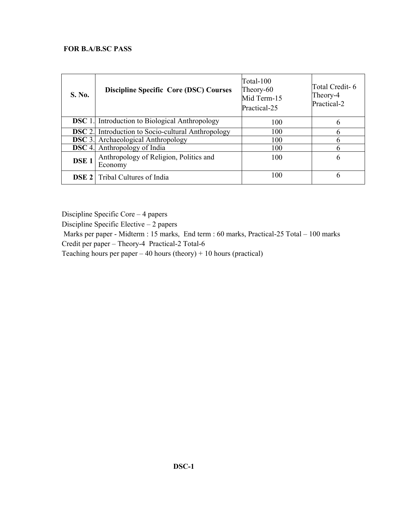# **FOR B.A/B.SC PASS**

| S. No.           | <b>Discipline Specific Core (DSC) Courses</b>             | Total-100<br>Theory-60<br>Mid Term-15<br>Practical-25 | Total Credit-6<br>Theory-4<br>Practical-2 |
|------------------|-----------------------------------------------------------|-------------------------------------------------------|-------------------------------------------|
|                  | <b>DSC</b> 1. Introduction to Biological Anthropology     | 100                                                   | 6                                         |
|                  | <b>DSC</b> 2. Introduction to Socio-cultural Anthropology | 100                                                   | 6                                         |
|                  | <b>DSC</b> 3. Archaeological Anthropology                 | 100                                                   | h                                         |
|                  | <b>DSC</b> 4. Anthropology of India                       | 100                                                   | 6                                         |
| DSE <sub>1</sub> | Anthropology of Religion, Politics and<br>Economy         | 100                                                   | 6                                         |
|                  | <b>DSE 2</b> Tribal Cultures of India                     | 100                                                   | 6                                         |

Discipline Specific Core – 4 papers

Discipline Specific Elective – 2 papers

Marks per paper - Midterm : 15 marks, End term : 60 marks, Practical-25 Total – 100 marks

Credit per paper – Theory-4 Practical-2 Total-6

Teaching hours per paper  $-40$  hours (theory) + 10 hours (practical)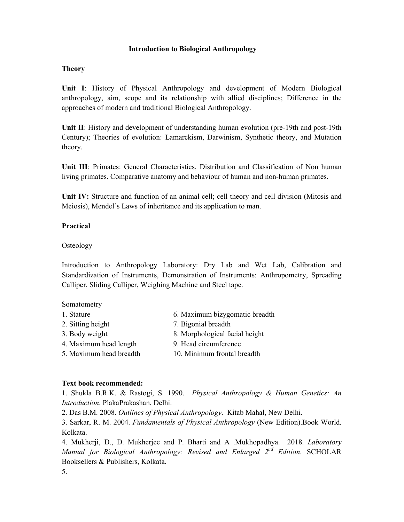#### **Introduction to Biological Anthropology**

#### **Theory**

**Unit I**: History of Physical Anthropology and development of Modern Biological anthropology, aim, scope and its relationship with allied disciplines; Difference in the approaches of modern and traditional Biological Anthropology.

**Unit II**: History and development of understanding human evolution (pre-19th and post-19th Century); Theories of evolution: Lamarckism, Darwinism, Synthetic theory, and Mutation theory.

**Unit III**: Primates: General Characteristics, Distribution and Classification of Non human living primates. Comparative anatomy and behaviour of human and non-human primates.

**Unit IV:** Structure and function of an animal cell; cell theory and cell division (Mitosis and Meiosis), Mendel's Laws of inheritance and its application to man.

#### **Practical**

#### **Osteology**

Introduction to Anthropology Laboratory: Dry Lab and Wet Lab, Calibration and Standardization of Instruments, Demonstration of Instruments: Anthropometry, Spreading Calliper, Sliding Calliper, Weighing Machine and Steel tape.

#### Somatometry

- 1. Stature 6. Maximum bizygomatic breadth 2. Sitting height 7. Bigonial breadth 3. Body weight 8. Morphological facial height
- 4. Maximum head length 9. Head circumference
- 5. Maximum head breadth 10. Minimum frontal breadth

#### **Text book recommended:**

1. Shukla B.R.K. & Rastogi, S. 1990. *Physical Anthropology & Human Genetics: An Introduction*. PlakaPrakashan. Delhi.

2. Das B.M. 2008. *Outlines of Physical Anthropology*. Kitab Mahal, New Delhi.

3. Sarkar, R. M. 2004. *Fundamentals of Physical Anthropology* (New Edition).Book World. Kolkata.

4. Mukherji, D., D. Mukherjee and P. Bharti and A .Mukhopadhya. 2018. *Laboratory Manual for Biological Anthropology: Revised and Enlarged 2nd Edition*. SCHOLAR Booksellers & Publishers, Kolkata.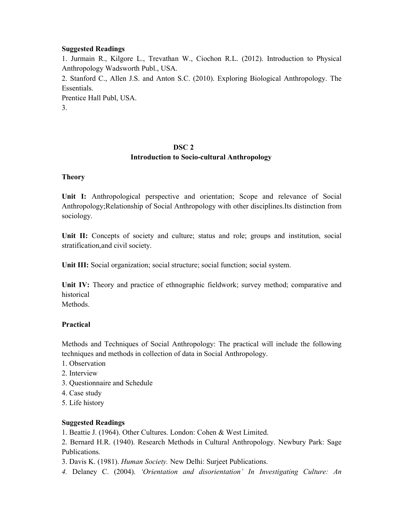#### **Suggested Readings**

1. Jurmain R., Kilgore L., Trevathan W., Ciochon R.L. (2012). Introduction to Physical Anthropology Wadsworth Publ., USA. 2. Stanford C., Allen J.S. and Anton S.C. (2010). Exploring Biological Anthropology. The Essentials. Prentice Hall Publ, USA.

3.

# **DSC 2**

# **Introduction to Socio-cultural Anthropology**

# **Theory**

**Unit I:** Anthropological perspective and orientation; Scope and relevance of Social Anthropology;Relationship of Social Anthropology with other disciplines.Its distinction from sociology.

Unit II: Concepts of society and culture; status and role; groups and institution, social stratification,and civil society.

**Unit III:** Social organization; social structure; social function; social system.

**Unit IV:** Theory and practice of ethnographic fieldwork; survey method; comparative and historical

Methods.

# **Practical**

Methods and Techniques of Social Anthropology: The practical will include the following techniques and methods in collection of data in Social Anthropology.

- 1. Observation
- 2. Interview
- 3. Questionnaire and Schedule
- 4. Case study
- 5. Life history

# **Suggested Readings**

1. Beattie J. (1964). Other Cultures. London: Cohen & West Limited.

2. Bernard H.R. (1940). Research Methods in Cultural Anthropology. Newbury Park: Sage Publications.

3. Davis K. (1981). *Human Society.* New Delhi: Surjeet Publications.

*4.* Delaney C. (2004). *'Orientation and disorientation' In Investigating Culture: An*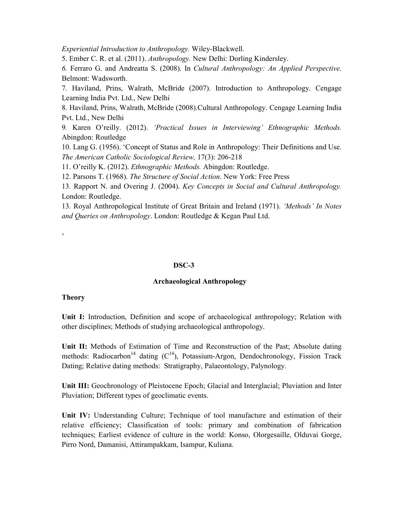*Experiential Introduction to Anthropology.* Wiley-Blackwell.

5. Ember C. R. et al. (2011). *Anthropology.* New Delhi: Dorling Kindersley.

*6.* Ferraro G. and Andreatta S. (2008). In *Cultural Anthropology: An Applied Perspective.*  Belmont: Wadsworth.

7. Haviland, Prins, Walrath, McBride (2007). Introduction to Anthropology. Cengage Learning India Pvt. Ltd., New Delhi

8. Haviland, Prins, Walrath, McBride (2008).Cultural Anthropology. Cengage Learning India Pvt. Ltd., New Delhi

9*.* Karen O'reilly. (2012). *'Practical Issues in Interviewing' Ethnographic Methods.*  Abingdon: Routledge

10. Lang G. (1956). 'Concept of Status and Role in Anthropology: Their Definitions and Use. *The American Catholic Sociological Review,* 17(3): 206-218

11. O'reilly K. (2012). *Ethnographic Methods.* Abingdon: Routledge.

12. Parsons T. (1968). *The Structure of Social Action*. New York: Free Press

13*.* Rapport N. and Overing J. (2004). *Key Concepts in Social and Cultural Anthropology.*  London: Routledge.

13*.* Royal Anthropological Institute of Great Britain and Ireland (1971). *'Methods' In Notes and Queries on Anthropology*. London: Routledge & Kegan Paul Ltd.

 $\epsilon$ 

#### **DSC-3**

#### **Archaeological Anthropology**

#### **Theory**

**Unit I:** Introduction, Definition and scope of archaeological anthropology; Relation with other disciplines; Methods of studying archaeological anthropology.

**Unit II:** Methods of Estimation of Time and Reconstruction of the Past; Absolute dating methods: Radiocarbon<sup>14</sup> dating  $(C^{14})$ , Potassium-Argon, Dendochronology, Fission Track Dating; Relative dating methods: Stratigraphy, Palaeontology, Palynology.

**Unit III:** Geochronology of Pleistocene Epoch; Glacial and Interglacial; Pluviation and Inter Pluviation; Different types of geoclimatic events.

**Unit IV:** Understanding Culture; Technique of tool manufacture and estimation of their relative efficiency; Classification of tools: primary and combination of fabrication techniques; Earliest evidence of culture in the world: Konso, Olorgesaille, Olduvai Gorge, Pirro Nord, Damanisi, Attirampakkam, Isampur, Kuliana.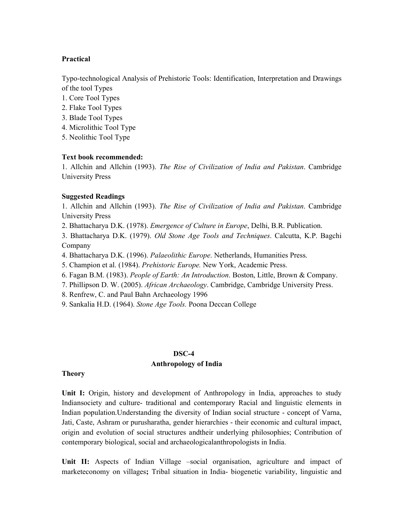#### **Practical**

Typo-technological Analysis of Prehistoric Tools: Identification, Interpretation and Drawings of the tool Types

- 1. Core Tool Types
- 2. Flake Tool Types
- 3. Blade Tool Types
- 4. Microlithic Tool Type
- 5. Neolithic Tool Type

#### **Text book recommended:**

1. Allchin and Allchin (1993). *The Rise of Civilization of India and Pakistan*. Cambridge University Press

#### **Suggested Readings**

1. Allchin and Allchin (1993). *The Rise of Civilization of India and Pakistan*. Cambridge University Press

2. Bhattacharya D.K. (1978). *Emergence of Culture in Europe*, Delhi, B.R. Publication.

3. Bhattacharya D.K. (1979). *Old Stone Age Tools and Techniques*. Calcutta, K.P. Bagchi Company

4. Bhattacharya D.K. (1996). *Palaeolithic Europe*. Netherlands, Humanities Press.

5. Champion et al. (1984). *Prehistoric Europe.* New York, Academic Press.

6. Fagan B.M. (1983). *People of Earth: An Introduction*. Boston, Little, Brown & Company.

7. Phillipson D. W. (2005). *African Archaeology*. Cambridge, Cambridge University Press.

8. Renfrew, C. and Paul Bahn Archaeology 1996

9. Sankalia H.D. (1964). *Stone Age Tools.* Poona Deccan College

#### **DSC-4**

#### **Anthropology of India**

#### **Theory**

**Unit I:** Origin, history and development of Anthropology in India, approaches to study Indiansociety and culture- traditional and contemporary Racial and linguistic elements in Indian population.Understanding the diversity of Indian social structure - concept of Varna, Jati, Caste, Ashram or purusharatha, gender hierarchies - their economic and cultural impact, origin and evolution of social structures andtheir underlying philosophies; Contribution of contemporary biological, social and archaeologicalanthropologists in India.

**Unit II:** Aspects of Indian Village –social organisation, agriculture and impact of marketeconomy on villages**;** Tribal situation in India- biogenetic variability, linguistic and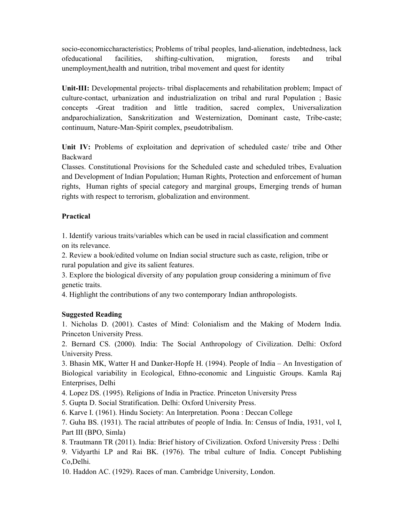socio-economiccharacteristics; Problems of tribal peoples, land-alienation, indebtedness, lack ofeducational facilities, shifting-cultivation, migration, forests and tribal unemployment,health and nutrition, tribal movement and quest for identity

**Unit-III:** Developmental projects- tribal displacements and rehabilitation problem; Impact of culture-contact, urbanization and industrialization on tribal and rural Population ; Basic concepts -Great tradition and little tradition, sacred complex, Universalization andparochialization, Sanskritization and Westernization, Dominant caste, Tribe-caste; continuum, Nature-Man-Spirit complex, pseudotribalism.

**Unit IV:** Problems of exploitation and deprivation of scheduled caste/ tribe and Other Backward

Classes. Constitutional Provisions for the Scheduled caste and scheduled tribes, Evaluation and Development of Indian Population; Human Rights, Protection and enforcement of human rights, Human rights of special category and marginal groups, Emerging trends of human rights with respect to terrorism, globalization and environment.

# **Practical**

1. Identify various traits/variables which can be used in racial classification and comment on its relevance.

2. Review a book/edited volume on Indian social structure such as caste, religion, tribe or rural population and give its salient features.

3. Explore the biological diversity of any population group considering a minimum of five genetic traits.

4. Highlight the contributions of any two contemporary Indian anthropologists.

# **Suggested Reading**

1. Nicholas D. (2001). Castes of Mind: Colonialism and the Making of Modern India. Princeton University Press.

2. Bernard CS. (2000). India: The Social Anthropology of Civilization. Delhi: Oxford University Press.

3. Bhasin MK, Watter H and Danker-Hopfe H. (1994). People of India – An Investigation of Biological variability in Ecological, Ethno-economic and Linguistic Groups. Kamla Raj Enterprises, Delhi

4. Lopez DS. (1995). Religions of India in Practice. Princeton University Press

5. Gupta D. Social Stratification. Delhi: Oxford University Press.

6. Karve I. (1961). Hindu Society: An Interpretation. Poona : Deccan College

7. Guha BS. (1931). The racial attributes of people of India. In: Census of India, 1931, vol I, Part III (BPO, Simla)

8. Trautmann TR (2011). India: Brief history of Civilization. Oxford University Press : Delhi

9. Vidyarthi LP and Rai BK. (1976). The tribal culture of India. Concept Publishing Co,Delhi.

10. Haddon AC. (1929). Races of man. Cambridge University, London.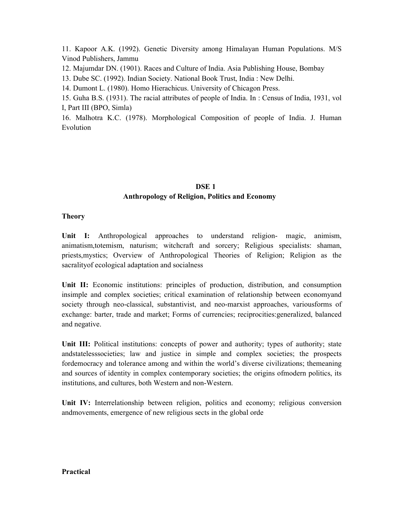11. Kapoor A.K. (1992). Genetic Diversity among Himalayan Human Populations. M/S Vinod Publishers, Jammu

12. Majumdar DN. (1901). Races and Culture of India. Asia Publishing House, Bombay

13. Dube SC. (1992). Indian Society. National Book Trust, India : New Delhi.

14. Dumont L. (1980). Homo Hierachicus. University of Chicagon Press.

15. Guha B.S. (1931). The racial attributes of people of India. In : Census of India, 1931, vol I, Part III (BPO, Simla)

16. Malhotra K.C. (1978). Morphological Composition of people of India. J. Human Evolution

# **DSE 1 Anthropology of Religion, Politics and Economy**

# **Theory**

Unit I: Anthropological approaches to understand religion- magic, animism, animatism,totemism, naturism; witchcraft and sorcery; Religious specialists: shaman, priests,mystics; Overview of Anthropological Theories of Religion; Religion as the sacralityof ecological adaptation and socialness

**Unit II:** Economic institutions: principles of production, distribution, and consumption insimple and complex societies; critical examination of relationship between economyand society through neo-classical, substantivist, and neo-marxist approaches, variousforms of exchange: barter, trade and market; Forms of currencies; reciprocities:generalized, balanced and negative.

Unit III: Political institutions: concepts of power and authority; types of authority; state andstatelesssocieties; law and justice in simple and complex societies; the prospects fordemocracy and tolerance among and within the world's diverse civilizations; themeaning and sources of identity in complex contemporary societies; the origins ofmodern politics, its institutions, and cultures, both Western and non-Western.

**Unit IV:** Interrelationship between religion, politics and economy; religious conversion andmovements, emergence of new religious sects in the global orde

#### **Practical**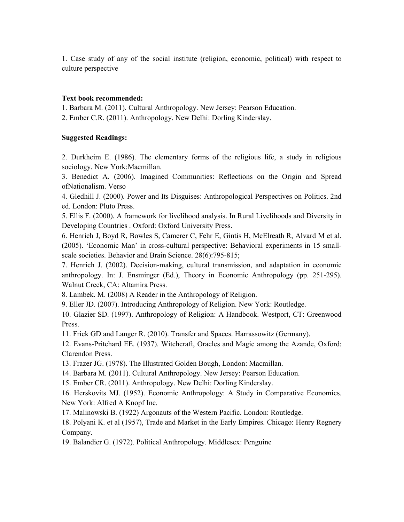1. Case study of any of the social institute (religion, economic, political) with respect to culture perspective

#### **Text book recommended:**

1. Barbara M. (2011). Cultural Anthropology. New Jersey: Pearson Education.

2. Ember C.R. (2011). Anthropology. New Delhi: Dorling Kinderslay.

#### **Suggested Readings:**

2. Durkheim E. (1986). The elementary forms of the religious life, a study in religious sociology. New York:Macmillan.

3. Benedict A. (2006). Imagined Communities: Reflections on the Origin and Spread ofNationalism. Verso

4. Gledhill J. (2000). Power and Its Disguises: Anthropological Perspectives on Politics. 2nd ed. London: Pluto Press.

5. Ellis F. (2000). A framework for livelihood analysis. In Rural Livelihoods and Diversity in Developing Countries . Oxford: Oxford University Press.

6. Henrich J, Boyd R, Bowles S, Camerer C, Fehr E, Gintis H, McElreath R, Alvard M et al. (2005). 'Economic Man' in cross-cultural perspective: Behavioral experiments in 15 smallscale societies. Behavior and Brain Science. 28(6):795-815;

7. Henrich J. (2002). Decision-making, cultural transmission, and adaptation in economic anthropology. In: J. Ensminger (Ed.), Theory in Economic Anthropology (pp. 251-295). Walnut Creek, CA: Altamira Press.

8. Lambek. M. (2008) A Reader in the Anthropology of Religion.

9. Eller JD. (2007). Introducing Anthropology of Religion. New York: Routledge.

10. Glazier SD. (1997). Anthropology of Religion: A Handbook. Westport, CT: Greenwood Press.

11. Frick GD and Langer R. (2010). Transfer and Spaces. Harrassowitz (Germany).

12. Evans-Pritchard EE. (1937). Witchcraft, Oracles and Magic among the Azande, Oxford: Clarendon Press.

13. Frazer JG. (1978). The Illustrated Golden Bough, London: Macmillan.

14. Barbara M. (2011). Cultural Anthropology. New Jersey: Pearson Education.

15. Ember CR. (2011). Anthropology. New Delhi: Dorling Kinderslay.

16. Herskovits MJ. (1952). Economic Anthropology: A Study in Comparative Economics. New York: Alfred A Knopf Inc.

17. Malinowski B. (1922) Argonauts of the Western Pacific. London: Routledge.

18. Polyani K. et al (1957), Trade and Market in the Early Empires. Chicago: Henry Regnery Company.

19. Balandier G. (1972). Political Anthropology. Middlesex: Penguine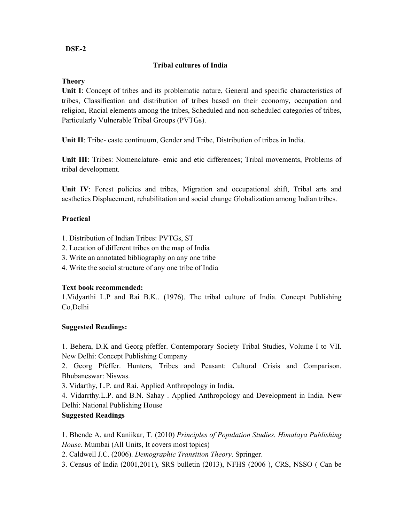# **DSE-2**

# **Tribal cultures of India**

# **Theory**

**Unit I**: Concept of tribes and its problematic nature, General and specific characteristics of tribes, Classification and distribution of tribes based on their economy, occupation and religion, Racial elements among the tribes, Scheduled and non-scheduled categories of tribes, Particularly Vulnerable Tribal Groups (PVTGs).

**Unit II**: Tribe- caste continuum, Gender and Tribe, Distribution of tribes in India.

**Unit III**: Tribes: Nomenclature- emic and etic differences; Tribal movements, Problems of tribal development.

**Unit IV**: Forest policies and tribes, Migration and occupational shift, Tribal arts and aesthetics Displacement, rehabilitation and social change Globalization among Indian tribes.

# **Practical**

- 1. Distribution of Indian Tribes: PVTGs, ST
- 2. Location of different tribes on the map of India
- 3. Write an annotated bibliography on any one tribe
- 4. Write the social structure of any one tribe of India

# **Text book recommended:**

1.Vidyarthi L.P and Rai B.K.. (1976). The tribal culture of India. Concept Publishing Co,Delhi

# **Suggested Readings:**

1. Behera, D.K and Georg pfeffer. Contemporary Society Tribal Studies, Volume I to VII. New Delhi: Concept Publishing Company

2. Georg Pfeffer. Hunters, Tribes and Peasant: Cultural Crisis and Comparison. Bhubaneswar: Niswas.

3. Vidarthy, L.P. and Rai. Applied Anthropology in India.

4. Vidarrthy.L.P. and B.N. Sahay . Applied Anthropology and Development in India. New Delhi: National Publishing House

# **Suggested Readings**

1. Bhende A. and Kaniikar, T. (2010) *Principles of Population Studies. Himalaya Publishing House.* Mumbai (All Units, It covers most topics)

2. Caldwell J.C. (2006). *Demographic Transition Theory*. Springer.

3. Census of India (2001,2011), SRS bulletin (2013), NFHS (2006 ), CRS, NSSO ( Can be